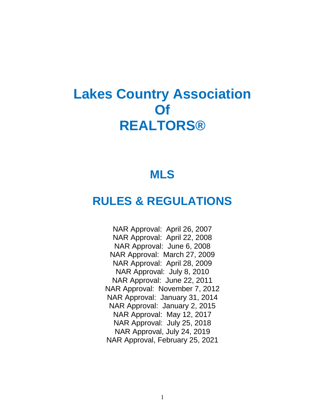# **Lakes Country Association Of REALTORS®**

## **MLS**

## **RULES & REGULATIONS**

NAR Approval: April 26, 2007 NAR Approval: April 22, 2008 NAR Approval: June 6, 2008 NAR Approval: March 27, 2009 NAR Approval: April 28, 2009 NAR Approval: July 8, 2010 NAR Approval: June 22, 2011 NAR Approval: November 7, 2012 NAR Approval: January 31, 2014 NAR Approval: January 2, 2015 NAR Approval: May 12, 2017 NAR Approval: July 25, 2018 NAR Approval, July 24, 2019 NAR Approval, February 25, 2021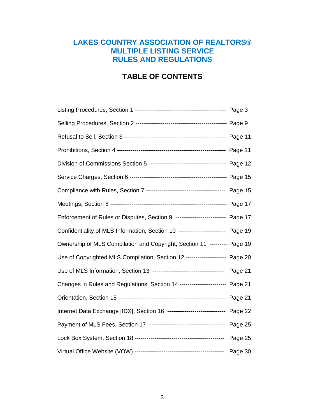### **LAKES COUNTRY ASSOCIATION OF REALTORS® MULTIPLE LISTING SERVICE RULES AND REGULATIONS**

### **TABLE OF CONTENTS**

| Enforcement of Rules or Disputes, Section 9 ------------------------- Page 17  |         |
|--------------------------------------------------------------------------------|---------|
| Confidentiality of MLS Information, Section 10 ----------------------- Page 19 |         |
| Ownership of MLS Compilation and Copyright, Section 11 --------- Page 19       |         |
| Use of Copyrighted MLS Compilation, Section 12 -------------------- Page 20    |         |
|                                                                                |         |
| Changes in Rules and Regulations, Section 14 ----------------------- Page 21   |         |
|                                                                                |         |
| Internet Data Exchange [IDX], Section 16 ----------------------------- Page 22 |         |
|                                                                                |         |
|                                                                                | Page 25 |
|                                                                                |         |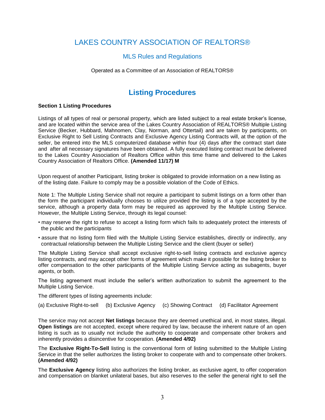### LAKES COUNTRY ASSOCIATION OF REALTORS®

### MLS Rules and Regulations

#### Operated as a Committee of an Association of REALTORS®

### **Listing Procedures**

#### **Section 1 Listing Procedures**

Listings of all types of real or personal property, which are listed subject to a real estate broker's license, and are located within the service area of the Lakes Country Association of REALTORS® Multiple Listing Service (Becker, Hubbard, Mahnomen, Clay, Norman, and Ottertail) and are taken by participants, on Exclusive Right to Sell Listing Contracts and Exclusive Agency Listing Contracts will, at the option of the seller, be entered into the MLS computerized database within four (4) days after the contract start date and after all necessary signatures have been obtained. A fully executed listing contract must be delivered to the Lakes Country Association of Realtors Office within this time frame and delivered to the Lakes Country Association of Realtors Office. **(Amended 11/17) M**

Upon request of another Participant, listing broker is obligated to provide information on a new listing as of the listing date. Failure to comply may be a possible violation of the Code of Ethics.

Note 1: The Multiple Listing Service shall not require a participant to submit listings on a form other than the form the participant individually chooses to utilize provided the listing is of a type accepted by the service, although a property data form may be required as approved by the Multiple Listing Service. However, the Multiple Listing Service, through its legal counsel:

- may reserve the right to refuse to accept a listing form which fails to adequately protect the interests of the public and the participants
- assure that no listing form filed with the Multiple Listing Service establishes, directly or indirectly, any contractual relationship between the Multiple Listing Service and the client (buyer or seller)

The Multiple Listing Service shall accept exclusive right-to-sell listing contracts and exclusive agency listing contracts, and may accept other forms of agreement which make it possible for the listing broker to offer compensation to the other participants of the Multiple Listing Service acting as subagents, buyer agents, or both.

The listing agreement must include the seller's written authorization to submit the agreement to the Multiple Listing Service.

The different types of listing agreements include:

(a) Exclusive Right-to-sell (b) Exclusive Agency (c) Showing Contract (d) Facilitator Agreement

The service may not accept **Net listings** because they are deemed unethical and, in most states, illegal. **Open listings** are not accepted, except where required by law, because the inherent nature of an open listing is such as to usually not include the authority to cooperate and compensate other brokers and inherently provides a disincentive for cooperation. **(Amended 4/92)**

The **Exclusive Right-To-Sell** listing is the conventional form of listing submitted to the Multiple Listing Service in that the seller authorizes the listing broker to cooperate with and to compensate other brokers. **(Amended 4/92)**

The **Exclusive Agency** listing also authorizes the listing broker, as exclusive agent, to offer cooperation and compensation on blanket unilateral bases, but also reserves to the seller the general right to sell the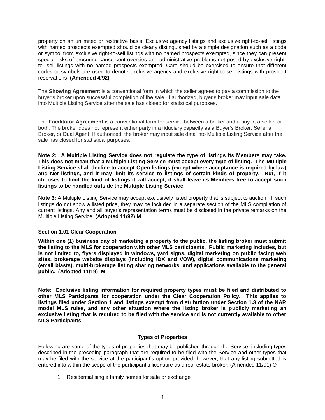property on an unlimited or restrictive basis. Exclusive agency listings and exclusive right-to-sell listings with named prospects exempted should be clearly distinguished by a simple designation such as a code or symbol from exclusive right-to-sell listings with no named prospects exempted, since they can present special risks of procuring cause controversies and administrative problems not posed by exclusive rightto- sell listings with no named prospects exempted. Care should be exercised to ensure that different codes or symbols are used to denote exclusive agency and exclusive right-to-sell listings with prospect reservations. **(Amended 4/92)**

The **Showing Agreement** is a conventional form in which the seller agrees to pay a commission to the buyer's broker upon successful completion of the sale. If authorized, buyer's broker may input sale data into Multiple Listing Service after the sale has closed for statistical purposes.

The **Facilitator Agreement** is a conventional form for service between a broker and a buyer, a seller, or both. The broker does not represent either party in a fiduciary capacity as a Buyer's Broker, Seller's Broker, or Dual Agent. If authorized, the broker may input sale data into Multiple Listing Service after the sale has closed for statistical purposes.

**Note 2: A Multiple Listing Service does not regulate the type of listings its Members may take. This does not mean that a Multiple Listing Service must accept every type of listing. The Multiple Listing Service shall decline to accept Open listings (except where acceptance is required by law) and Net listings, and it may limit its service to listings of certain kinds of property. But, if it chooses to limit the kind of listings it will accept, it shall leave its Members free to accept such listings to be handled outside the Multiple Listing Service.**

**Note 3:** A Multiple Listing Service may accept exclusively listed property that is subject to auction. If such listings do not show a listed price, they may be included in a separate section of the MLS compilation of current listings. Any and all buyer's representation terms must be disclosed in the private remarks on the Multiple Listing Service. **(Adopted 11/92) M**

### **Section 1.01 Clear Cooperation**

**Within one (1) business day of marketing a property to the public, the listing broker must submit the listing to the MLS for cooperation with other MLS participants. Public marketing includes, but is not limited to, flyers displayed in windows, yard signs, digital marketing on public facing web sites, brokerage website displays (including IDX and VOW), digital communications marketing (email blasts), multi-brokerage listing sharing networks, and applications available to the general public. (Adopted 11/19) M**

**Note: Exclusive listing information for required property types must be filed and distributed to other MLS Participants for cooperation under the Clear Cooperation Policy. This applies to listings filed under Section 1 and listings exempt from distribution under Section 1.3 of the NAR model MLS rules, and any other situation where the listing broker is publicly marketing an exclusive listing that is required to be filed with the service and is not currently available to other MLS Participants.**

### **Types of Properties**

Following are some of the types of properties that may be published through the Service, including types described in the preceding paragraph that are required to be filed with the Service and other types that may be filed with the service at the participant's option provided, however, that any listing submitted is entered into within the scope of the participant's licensure as a real estate broker: (Amended 11/91) O

1. Residential single family homes for sale or exchange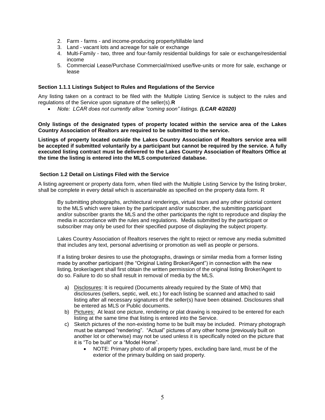- 2. Farm farms and income-producing property/tillable land
- 3. Land vacant lots and acreage for sale or exchange
- 4. Multi-Family two, three and four-family residential buildings for sale or exchange/residential income
- 5. Commercial Lease/Purchase Commercial/mixed use/five-units or more for sale, exchange or lease

### **Section 1.1.1 Listings Subject to Rules and Regulations of the Service**

Any listing taken on a contract to be filed with the Multiple Listing Service is subject to the rules and regulations of the Service upon signature of the seller(s).**R**

• Note: LCAR does not currently allow "coming soon" listings. *(LCAR 4/2020)* 

**Only listings of the designated types of property located within the service area of the Lakes Country Association of Realtors are required to be submitted to the service.**

**Listings of property located outside the Lakes Country Association of Realtors service area will be accepted if submitted voluntarily by a participant but cannot be required by the service. A fully executed listing contract must be delivered to the Lakes Country Association of Realtors Office at the time the listing is entered into the MLS computerized database.**

### **Section 1.2 Detail on Listings Filed with the Service**

A listing agreement or property data form, when filed with the Multiple Listing Service by the listing broker, shall be complete in every detail which is ascertainable as specified on the property data form. R

By submitting photographs, architectural renderings, virtual tours and any other pictorial content to the MLS which were taken by the participant and/or subscriber, the submitting participant and/or subscriber grants the MLS and the other participants the right to reproduce and display the media in accordance with the rules and regulations. Media submitted by the participant or subscriber may only be used for their specified purpose of displaying the subject property.

Lakes Country Association of Realtors reserves the right to reject or remove any media submitted that includes any text, personal advertising or promotion as well as people or persons.

If a listing broker desires to use the photographs, drawings or similar media from a former listing made by another participant (the "Original Listing Broker/Agent") in connection with the new listing, broker/agent shall first obtain the written permission of the original listing Broker/Agent to do so. Failure to do so shall result in removal of media by the MLS.

- a) Disclosures: It is required (Documents already required by the State of MN) that disclosures (sellers, septic, well, etc.) for each listing be scanned and attached to said listing after all necessary signatures of the seller(s) have been obtained. Disclosures shall be entered as MLS or Public documents.
- b) Pictures: At least one picture, rendering or plat drawing is required to be entered for each listing at the same time that listing is entered into the Service.
- c) Sketch pictures of the non-existing home to be built may be included. Primary photograph must be stamped "rendering". "Actual" pictures of any other home (previously built on another lot or otherwise) may not be used unless it is specifically noted on the picture that it is "To be built" or a "Model Home".
	- NOTE: Primary photo of all property types, excluding bare land, must be of the exterior of the primary building on said property.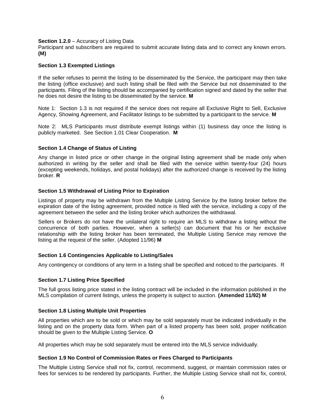#### **Section 1.2.0** – Accuracy of Listing Data

Participant and subscribers are required to submit accurate listing data and to correct any known errors. **(M)**

### **Section 1.3 Exempted Listings**

If the seller refuses to permit the listing to be disseminated by the Service, the participant may then take the listing (office exclusive) and such listing shall be filed with the Service but not disseminated to the participants. Filing of the listing should be accompanied by certification signed and dated by the seller that he does not desire the listing to be disseminated by the service. **M**

Note 1: Section 1.3 is not required if the service does not require all Exclusive Right to Sell, Exclusive Agency, Showing Agreement, and Facilitator listings to be submitted by a participant to the service. **M**

Note 2: MLS Participants must distribute exempt listings within (1) business day once the listing is publicly marketed. See Section 1.01 Clear Cooperation. **M**

#### **Section 1.4 Change of Status of Listing**

Any change in listed price or other change in the original listing agreement shall be made only when authorized in writing by the seller and shall be filed with the service within twenty-four (24) hours (excepting weekends, holidays, and postal holidays) after the authorized change is received by the listing broker. **R**

#### **Section 1.5 Withdrawal of Listing Prior to Expiration**

Listings of property may be withdrawn from the Multiple Listing Service by the listing broker before the expiration date of the listing agreement, provided notice is filed with the service, including a copy of the agreement between the seller and the listing broker which authorizes the withdrawal.

Sellers or Brokers do not have the unilateral right to require an MLS to withdraw a listing without the concurrence of both parties. However, when a seller(s) can document that his or her exclusive relationship with the listing broker has been terminated, the Multiple Listing Service may remove the listing at the request of the seller. (Adopted 11/96) **M**

### **Section 1.6 Contingencies Applicable to Listing/Sales**

Any contingency or conditions of any term in a listing shall be specified and noticed to the participants. R

#### **Section 1.7 Listing Price Specified**

The full gross listing price stated in the listing contract will be included in the information published in the MLS compilation of current listings, unless the property is subject to auction. **(Amended 11/92) M**

#### **Section 1.8 Listing Multiple Unit Properties**

All properties which are to be sold or which may be sold separately must be indicated individually in the listing and on the property data form. When part of a listed property has been sold, proper notification should be given to the Multiple Listing Service. **O**

All properties which may be sold separately must be entered into the MLS service individually.

#### **Section 1.9 No Control of Commission Rates or Fees Charged to Participants**

The Multiple Listing Service shall not fix, control, recommend, suggest, or maintain commission rates or fees for services to be rendered by participants. Further, the Multiple Listing Service shall not fix, control,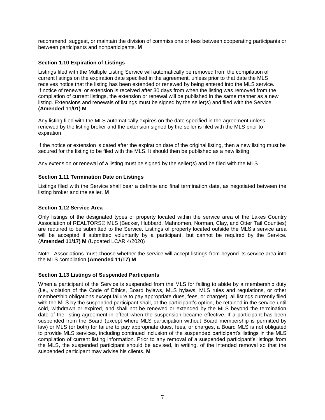recommend, suggest, or maintain the division of commissions or fees between cooperating participants or between participants and nonparticipants. **M**

### **Section 1.10 Expiration of Listings**

Listings filed with the Multiple Listing Service will automatically be removed from the compilation of current listings on the expiration date specified in the agreement, unless prior to that date the MLS receives notice that the listing has been extended or renewed by being entered into the MLS service. If notice of renewal or extension is received after 30 days from when the listing was removed from the compilation of current listings, the extension or renewal will be published in the same manner as a new listing. Extensions and renewals of listings must be signed by the seller(s) and filed with the Service. **(Amended 11/01) M**

Any listing filed with the MLS automatically expires on the date specified in the agreement unless renewed by the listing broker and the extension signed by the seller is filed with the MLS prior to expiration.

If the notice or extension is dated after the expiration date of the original listing, then a new listing must be secured for the listing to be filed with the MLS. It should then be published as a new listing.

Any extension or renewal of a listing must be signed by the seller(s) and be filed with the MLS.

### **Section 1.11 Termination Date on Listings**

Listings filed with the Service shall bear a definite and final termination date, as negotiated between the listing broker and the seller. **M**

### **Section 1.12 Service Area**

Only listings of the designated types of property located within the service area of the Lakes Country Association of REALTORS® MLS (Becker, Hubbard, Mahnomen, Norman, Clay, and Otter Tail Counties) are required to be submitted to the Service. Listings of property located outside the MLS's service area will be accepted if submitted voluntarily by a participant, but cannot be required by the Service. (**Amended 11/17) M** (Updated LCAR 4/2020)

Note: Associations must choose whether the service will accept listings from beyond its service area into the MLS compilation **(Amended 11/17) M**

### **Section 1.13 Listings of Suspended Participants**

When a participant of the Service is suspended from the MLS for failing to abide by a membership duty (i.e., violation of the Code of Ethics, Board bylaws, MLS bylaws, MLS rules and regulations, or other membership obligations except failure to pay appropriate dues, fees, or charges), all listings currently filed with the MLS by the suspended participant shall, at the participant's option, be retained in the service until sold, withdrawn or expired, and shall not be renewed or extended by the MLS beyond the termination date of the listing agreement in effect when the suspension became effective. If a participant has been suspended from the Board (except where MLS participation without Board membership is permitted by law) or MLS (or both) for failure to pay appropriate dues, fees, or charges, a Board MLS is not obligated to provide MLS services, including continued inclusion of the suspended participant's listings in the MLS compilation of current listing information. Prior to any removal of a suspended participant's listings from the MLS, the suspended participant should be advised, in writing, of the intended removal so that the suspended participant may advise his clients. **M**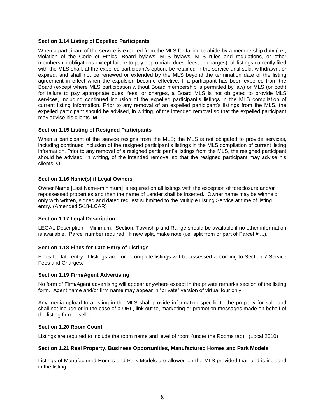### **Section 1.14 Listing of Expelled Participants**

When a participant of the service is expelled from the MLS for failing to abide by a membership duty (i.e., violation of the Code of Ethics, Board bylaws, MLS bylaws, MLS rules and regulations, or other membership obligations except failure to pay appropriate dues, fees, or charges), all listings currently filed with the MLS shall, at the expelled participant's option, be retained in the service until sold, withdrawn, or expired, and shall not be renewed or extended by the MLS beyond the termination date of the listing agreement in effect when the expulsion became effective. If a participant has been expelled from the Board (except where MLS participation without Board membership is permitted by law) or MLS (or both) for failure to pay appropriate dues, fees, or charges, a Board MLS is not obligated to provide MLS services, including continued inclusion of the expelled participant's listings in the MLS compilation of current listing information. Prior to any removal of an expelled participant's listings from the MLS, the expelled participant should be advised, in writing, of the intended removal so that the expelled participant may advise his clients. **M**

### **Section 1.15 Listing of Resigned Participants**

When a participant of the service resigns from the MLS; the MLS is not obligated to provide services, including continued inclusion of the resigned participant's listings in the MLS compilation of current listing information. Prior to any removal of a resigned participant's listings from the MLS, the resigned participant should be advised, in writing, of the intended removal so that the resigned participant may advise his clients. **O**

### **Section 1.16 Name(s) if Legal Owners**

Owner Name [Last Name-minimum] is required on all listings with the exception of foreclosure and/or repossessed properties and then the name of Lender shall be inserted. Owner name may be withheld only with written, signed and dated request submitted to the Multiple Listing Service at time of listing entry. (Amended 5/18-LCAR)

### **Section 1.17 Legal Description**

LEGAL Description – Minimum: Section, Township and Range should be available if no other information is available. Parcel number required. If new split, make note (i.e. split from or part of Parcel #....).

### **Section 1.18 Fines for Late Entry of Listings**

Fines for late entry of listings and for incomplete listings will be assessed according to Section 7 Service Fees and Charges.

### **Section 1.19 Firm/Agent Advertising**

No form of Firm/Agent advertising will appear anywhere except in the private remarks section of the listing form. Agent name and/or firm name may appear in "private" version of virtual tour only.

Any media upload to a listing in the MLS shall provide information specific to the property for sale and shall not include or in the case of a URL, link out to, marketing or promotion messages made on behalf of the listing firm or seller.

### **Section 1.20 Room Count**

Listings are required to include the room name and level of room (under the Rooms tab). (Local 2010)

### **Section 1.21 Real Property, Business Opportunities, Manufactured Homes and Park Models**

Listings of Manufactured Homes and Park Models are allowed on the MLS provided that land is included in the listing.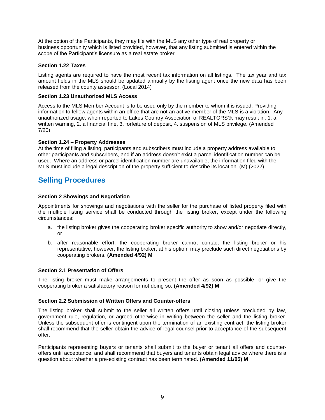At the option of the Participants, they may file with the MLS any other type of real property or business opportunity which is listed provided, however, that any listing submitted is entered within the scope of the Participant's licensure as a real estate broker

### **Section 1.22 Taxes**

Listing agents are required to have the most recent tax information on all listings. The tax year and tax amount fields in the MLS should be updated annually by the listing agent once the new data has been released from the county assessor. (Local 2014)

### **Section 1.23 Unauthorized MLS Access**

Access to the MLS Member Account is to be used only by the member to whom it is issued. Providing information to fellow agents within an office that are not an active member of the MLS is a violation. Any unauthorized usage, when reported to Lakes Country Association of REALTORS®, may result in: 1. a written warning, 2. a financial fine, 3. forfeiture of deposit, 4. suspension of MLS privilege. (Amended 7/20)

### **Section 1.24 – Property Addresses**

At the time of filing a listing, participants and subscribers must include a property address available to other participants and subscribers, and if an address doesn't exist a parcel identification number can be used. Where an address or parcel identification number are unavailable, the information filed with the MLS must include a legal description of the property sufficient to describe its location. (M) (2022)

### **Selling Procedures**

### **Section 2 Showings and Negotiation**

Appointments for showings and negotiations with the seller for the purchase of listed property filed with the multiple listing service shall be conducted through the listing broker, except under the following circumstances:

- a. the listing broker gives the cooperating broker specific authority to show and/or negotiate directly, or
- b. after reasonable effort, the cooperating broker cannot contact the listing broker or his representative; however, the listing broker, at his option, may preclude such direct negotiations by cooperating brokers. **(Amended 4/92) M**

### **Section 2.1 Presentation of Offers**

The listing broker must make arrangements to present the offer as soon as possible, or give the cooperating broker a satisfactory reason for not doing so. **(Amended 4/92) M**

### **Section 2.2 Submission of Written Offers and Counter-offers**

The listing broker shall submit to the seller all written offers until closing unless precluded by law, government rule, regulation, or agreed otherwise in writing between the seller and the listing broker. Unless the subsequent offer is contingent upon the termination of an existing contract, the listing broker shall recommend that the seller obtain the advice of legal counsel prior to acceptance of the subsequent offer.

Participants representing buyers or tenants shall submit to the buyer or tenant all offers and counteroffers until acceptance, and shall recommend that buyers and tenants obtain legal advice where there is a question about whether a pre-existing contract has been terminated. **(Amended 11/05) M**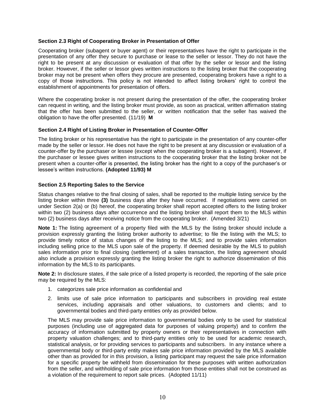### **Section 2.3 Right of Cooperating Broker in Presentation of Offer**

Cooperating broker (subagent or buyer agent) or their representatives have the right to participate in the presentation of any offer they secure to purchase or lease to the seller or lessor. They do not have the right to be present at any discussion or evaluation of that offer by the seller or lessor and the listing broker. However, if the seller or lessor gives written instructions to the listing broker that the cooperating broker may not be present when offers they procure are presented, cooperating brokers have a right to a copy of those instructions. This policy is not intended to affect listing brokers' right to control the establishment of appointments for presentation of offers.

Where the cooperating broker is not present during the presentation of the offer, the cooperating broker can request in writing, and the listing broker must provide, as soon as practical, written affirmation stating that the offer has been submitted to the seller, or written notification that the seller has waived the obligation to have the offer presented. (11/19) **M**

### **Section 2.4 Right of Listing Broker in Presentation of Counter-Offer**

The listing broker or his representative has the right to participate in the presentation of any counter-offer made by the seller or lessor. He does not have the right to be present at any discussion or evaluation of a counter-offer by the purchaser or lessee (except when the cooperating broker is a subagent). However, if the purchaser or lessee gives written instructions to the cooperating broker that the listing broker not be present when a counter-offer is presented, the listing broker has the right to a copy of the purchaser's or lessee's written instructions. **(Adopted 11/93) M**

### **Section 2.5 Reporting Sales to the Service**

Status changes relative to the final closing of sales, shall be reported to the multiple listing service by the listing broker within three **(3)** business days after they have occurred. If negotiations were carried on under Section 2(a) or (b) hereof, the cooperating broker shall report accepted offers to the listing broker within two (2) business days after occurrence and the listing broker shall report them to the MLS within two (2) business days after receiving notice from the cooperating broker. (Amended 3/21)

**Note 1:** The listing agreement of a property filed with the MLS by the listing broker should include a provision expressly granting the listing broker authority to advertise; to file the listing with the MLS; to provide timely notice of status changes of the listing to the MLS; and to provide sales information including selling price to the MLS upon sale of the property. If deemed desirable by the MLS to publish sales information prior to final closing (settlement) of a sales transaction, the listing agreement should also include a provision expressly granting the listing broker the right to authorize dissemination of this information by the MLS to its participants.

**Note 2:** In disclosure states, if the sale price of a listed property is recorded, the reporting of the sale price may be required by the MLS:

- 1. categorizes sale price information as confidential and
- 2. limits use of sale price information to participants and subscribers in providing real estate services, including appraisals and other valuations, to customers and clients; and to governmental bodies and third-party entities only as provided below.

The MLS may provide sale price information to governmental bodies only to be used for statistical purposes (including use of aggregated data for purposes of valuing property) and to confirm the accuracy of information submitted by property owners or their representatives in connection with property valuation challenges; and to third-party entities only to be used for academic research, statistical analysis, or for providing services to participants and subscribers. In any instance where a governmental body or third-party entity makes sale price information provided by the MLS available other than as provided for in this provision, a listing participant may request the sale price information for a specific property be withheld from dissemination for these purposes with written authorization from the seller, and withholding of sale price information from those entities shall not be construed as a violation of the requirement to report sale prices. (Adopted 11/11)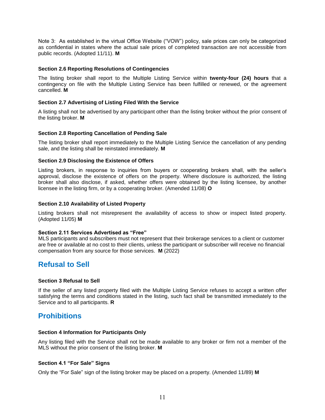Note 3: As established in the virtual Office Website ("VOW") policy, sale prices can only be categorized as confidential in states where the actual sale prices of completed transaction are not accessible from public records. (Adopted 11/11). **M**

### **Section 2.6 Reporting Resolutions of Contingencies**

The listing broker shall report to the Multiple Listing Service within **twenty-four (24) hours** that a contingency on file with the Multiple Listing Service has been fulfilled or renewed, or the agreement cancelled. **M**

### **Section 2.7 Advertising of Listing Filed With the Service**

A listing shall not be advertised by any participant other than the listing broker without the prior consent of the listing broker. **M**

### **Section 2.8 Reporting Cancellation of Pending Sale**

The listing broker shall report immediately to the Multiple Listing Service the cancellation of any pending sale, and the listing shall be reinstated immediately. **M**

### **Section 2.9 Disclosing the Existence of Offers**

Listing brokers, in response to inquiries from buyers or cooperating brokers shall, with the seller's approval, disclose the existence of offers on the property. Where disclosure is authorized, the listing broker shall also disclose, if asked, whether offers were obtained by the listing licensee, by another licensee in the listing firm, or by a cooperating broker. (Amended 11/08) **O**

### **Section 2.10 Availability of Listed Property**

Listing brokers shall not misrepresent the availability of access to show or inspect listed property. (Adopted 11/05) **M**

### **Section 2.11 Services Advertised as "Free"**

MLS participants and subscribers must not represent that their brokerage services to a client or customer are free or available at no cost to their clients, unless the participant or subscriber will receive no financial compensation from any source for those services. **M** (2022)

### **Refusal to Sell**

### **Section 3 Refusal to Sell**

If the seller of any listed property filed with the Multiple Listing Service refuses to accept a written offer satisfying the terms and conditions stated in the listing, such fact shall be transmitted immediately to the Service and to all participants. **R**

### **Prohibitions**

### **Section 4 Information for Participants Only**

Any listing filed with the Service shall not be made available to any broker or firm not a member of the MLS without the prior consent of the listing broker. **M**

### **Section 4.1 "For Sale" Signs**

Only the "For Sale" sign of the listing broker may be placed on a property. (Amended 11/89) **M**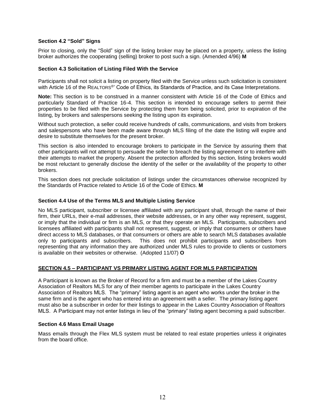### **Section 4.2 "Sold" Signs**

Prior to closing, only the "Sold" sign of the listing broker may be placed on a property, unless the listing broker authorizes the cooperating (selling) broker to post such a sign. (Amended 4/96) **M**

### **Section 4.3 Solicitation of Listing Filed With the Service**

Participants shall not solicit a listing on property filed with the Service unless such solicitation is consistent with Article 16 of the REALTORS®' Code of Ethics, its Standards of Practice, and its Case Interpretations.

**Note:** This section is to be construed in a manner consistent with Article 16 of the Code of Ethics and particularly Standard of Practice 16-4. This section is intended to encourage sellers to permit their properties to be filed with the Service by protecting them from being solicited, prior to expiration of the listing, by brokers and salespersons seeking the listing upon its expiration.

Without such protection, a seller could receive hundreds of calls, communications, and visits from brokers and salespersons who have been made aware through MLS filing of the date the listing will expire and desire to substitute themselves for the present broker.

This section is also intended to encourage brokers to participate in the Service by assuring them that other participants will not attempt to persuade the seller to breach the listing agreement or to interfere with their attempts to market the property. Absent the protection afforded by this section, listing brokers would be most reluctant to generally disclose the identity of the seller or the availability of the property to other brokers.

This section does not preclude solicitation of listings under the circumstances otherwise recognized by the Standards of Practice related to Article 16 of the Code of Ethics. **M**

### **Section 4.4 Use of the Terms MLS and Multiple Listing Service**

No MLS participant, subscriber or licensee affiliated with any participant shall, through the name of their firm, their URLs, their e-mail addresses, their website addresses, or in any other way represent, suggest, or imply that the individual or firm is an MLS, or that they operate an MLS. Participants, subscribers and licensees affiliated with participants shall not represent, suggest, or imply that consumers or others have direct access to MLS databases, or that consumers or others are able to search MLS databases available only to participants and subscribers. This does not prohibit participants and subscribers from representing that any information they are authorized under MLS rules to provide to clients or customers is available on their websites or otherwise. (Adopted 11/07) **O**

### **SECTION 4.5 – PARTICIPANT VS PRIMARY LISTING AGENT FOR MLS PARTICIPATION**

A Participant is known as the Broker of Record for a firm and must be a member of the Lakes Country Association of Realtors MLS for any of their member agents to participate in the Lakes Country Association of Realtors MLS. The "primary" listing agent is an agent who works under the broker in the same firm and is the agent who has entered into an agreement with a seller. The primary listing agent must also be a subscriber in order for their listings to appear in the Lakes Country Association of Realtors MLS. A Participant may not enter listings in lieu of the "primary" listing agent becoming a paid subscriber.

### **Section 4.6 Mass Email Usage**

Mass emails through the Flex MLS system must be related to real estate properties unless it originates from the board office.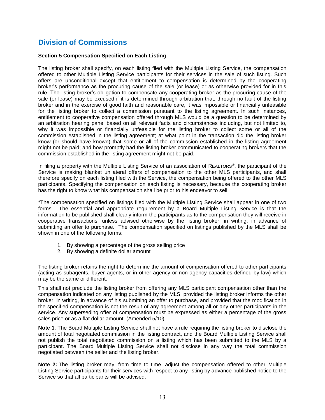### **Division of Commissions**

### **Section 5 Compensation Specified on Each Listing**

The listing broker shall specify, on each listing filed with the Multiple Listing Service, the compensation offered to other Multiple Listing Service participants for their services in the sale of such listing. Such offers are unconditional except that entitlement to compensation is determined by the cooperating broker's performance as the procuring cause of the sale (or lease) or as otherwise provided for in this rule. The listing broker's obligation to compensate any cooperating broker as the procuring cause of the sale (or lease) may be excused if it is determined through arbitration that, through no fault of the listing broker and in the exercise of good faith and reasonable care, it was impossible or financially unfeasible for the listing broker to collect a commission pursuant to the listing agreement. In such instances, entitlement to cooperative compensation offered through MLS would be a question to be determined by an arbitration hearing panel based on all relevant facts and circumstances including, but not limited to, why it was impossible or financially unfeasible for the listing broker to collect some or all of the commission established in the listing agreement; at what point in the transaction did the listing broker know (or should have known) that some or all of the commission established in the listing agreement might not be paid; and how promptly had the listing broker communicated to cooperating brokers that the commission established in the listing agreement might not be paid.

In filing a property with the Multiple Listing Service of an association of REALTORS®, the participant of the Service is making blanket unilateral offers of compensation to the other MLS participants, and shall therefore specify on each listing filed with the Service, the compensation being offered to the other MLS participants. Specifying the compensation on each listing is necessary, because the cooperating broker has the right to know what his compensation shall be prior to his endeavor to sell.

\*The compensation specified on listings filed with the Multiple Listing Service shall appear in one of two forms. The essential and appropriate requirement by a Board Multiple Listing Service is that the information to be published shall clearly inform the participants as to the compensation they will receive in cooperative transactions, unless advised otherwise by the listing broker, in writing, in advance of submitting an offer to purchase. The compensation specified on listings published by the MLS shall be shown in one of the following forms:

- 1. By showing a percentage of the gross selling price
- 2. By showing a definite dollar amount

The listing broker retains the right to determine the amount of compensation offered to other participants (acting as subagents, buyer agents, or in other agency or non-agency capacities defined by law) which may be the same or different.

This shall not preclude the listing broker from offering any MLS participant compensation other than the compensation indicated on any listing published by the MLS, provided the listing broker informs the other broker, in writing, in advance of his submitting an offer to purchase, and provided that the modification in the specified compensation is not the result of any agreement among all or any other participants in the service. Any superseding offer of compensation must be expressed as either a percentage of the gross sales price or as a flat dollar amount. (Amended 5/10)

**Note 1**: The Board Multiple Listing Service shall not have a rule requiring the listing broker to disclose the amount of total negotiated commission in the listing contract, and the Board Multiple Listing Service shall not publish the total negotiated commission on a listing which has been submitted to the MLS by a participant. The Board Multiple Listing Service shall not disclose in any way the total commission negotiated between the seller and the listing broker.

**Note 2:** The listing broker may, from time to time, adjust the compensation offered to other Multiple Listing Service participants for their services with respect to any listing by advance published notice to the Service so that all participants will be advised.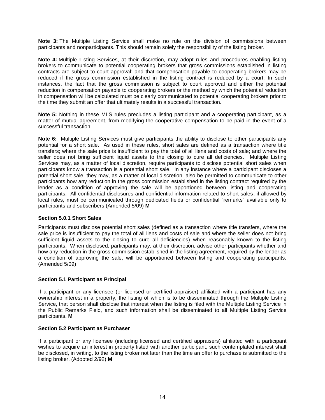**Note 3:** The Multiple Listing Service shall make no rule on the division of commissions between participants and nonparticipants. This should remain solely the responsibility of the listing broker.

**Note 4:** Multiple Listing Services, at their discretion, may adopt rules and procedures enabling listing brokers to communicate to potential cooperating brokers that gross commissions established in listing contracts are subject to court approval; and that compensation payable to cooperating brokers may be reduced if the gross commission established in the listing contract is reduced by a court. In such instances, the fact that the gross commission is subject to court approval and either the potential reduction in compensation payable to cooperating brokers or the method by which the potential reduction in compensation will be calculated must be clearly communicated to potential cooperating brokers prior to the time they submit an offer that ultimately results in a successful transaction.

**Note 5:** Nothing in these MLS rules precludes a listing participant and a cooperating participant, as a matter of mutual agreement, from modifying the cooperative compensation to be paid in the event of a successful transaction.

**Note 6:** Multiple Listing Services must give participants the ability to disclose to other participants any potential for a short sale. As used in these rules, short sales are defined as a transaction where title transfers; where the sale price is insufficient to pay the total of all liens and costs of sale; and where the seller does not bring sufficient liquid assets to the closing to cure all deficiencies. Multiple Listing Services may, as a matter of local discretion, require participants to disclose potential short sales when participants know a transaction is a potential short sale. In any instance where a participant discloses a potential short sale, they may, as a matter of local discretion, also be permitted to communicate to other participants how any reduction in the gross commission established in the listing contract required by the lender as a condition of approving the sale will be apportioned between listing and cooperating participants. All confidential disclosures and confidential information related to short sales, if allowed by local rules, must be communicated through dedicated fields or confidential "remarks" available only to participants and subscribers (Amended 5/09) **M**

### **Section 5.0.1 Short Sales**

Participants must disclose potential short sales (defined as a transaction where title transfers, where the sale price is insufficient to pay the total of all liens and costs of sale and where the seller does not bring sufficient liquid assets to the closing to cure all deficiencies) when reasonably known to the listing participants. When disclosed, participants may, at their discretion, advise other participants whether and how any reduction in the gross commission established in the listing agreement, required by the lender as a condition of approving the sale, will be apportioned between listing and cooperating participants. (Amended 5/09)

### **Section 5.1 Participant as Principal**

If a participant or any licensee (or licensed or certified appraiser) affiliated with a participant has any ownership interest in a property, the listing of which is to be disseminated through the Multiple Listing Service, that person shall disclose that interest when the listing is filed with the Multiple Listing Service in the Public Remarks Field, and such information shall be disseminated to all Multiple Listing Service participants. **M**

### **Section 5.2 Participant as Purchaser**

If a participant or any licensee (including licensed and certified appraisers) affiliated with a participant wishes to acquire an interest in property listed with another participant, such contemplated interest shall be disclosed, in writing, to the listing broker not later than the time an offer to purchase is submitted to the listing broker. (Adopted 2/92) **M**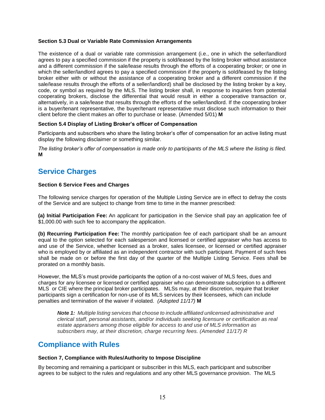### **Section 5.3 Dual or Variable Rate Commission Arrangements**

The existence of a dual or variable rate commission arrangement (i.e., one in which the seller/landlord agrees to pay a specified commission if the property is sold/leased by the listing broker without assistance and a different commission if the sale/lease results through the efforts of a cooperating broker; or one in which the seller/landlord agrees to pay a specified commission if the property is sold/leased by the listing broker either with or without the assistance of a cooperating broker and a different commission if the sale/lease results through the efforts of a seller/landlord) shall be disclosed by the listing broker by a key, code, or symbol as required by the MLS. The listing broker shall, in response to inquiries from potential cooperating brokers, disclose the differential that would result in either a cooperative transaction or, alternatively, in a sale/lease that results through the efforts of the seller/landlord. If the cooperating broker is a buyer/tenant representative, the buyer/tenant representative must disclose such information to their client before the client makes an offer to purchase or lease. (Amended 5/01) **M**

### **Section 5.4 Display of Listing Broker's officer of Compensation**

Participants and subscribers who share the listing broker's offer of compensation for an active listing must display the following disclaimer or something similar.

*The listing broker's offer of compensation is made only to participants of the MLS where the listing is filed.* **M**

### **Service Charges**

### **Section 6 Service Fees and Charges**

The following service charges for operation of the Multiple Listing Service are in effect to defray the costs of the Service and are subject to change from time to time in the manner prescribed:

**(a) Initial Participation Fee:** An applicant for participation in the Service shall pay an application fee of \$1,000.00 with such fee to accompany the application.

**(b) Recurring Participation Fee:** The monthly participation fee of each participant shall be an amount equal to the option selected for each salesperson and licensed or certified appraiser who has access to and use of the Service, whether licensed as a broker, sales licensee, or licensed or certified appraiser who is employed by or affiliated as an independent contractor with such participant. Payment of such fees shall be made on or before the first day of the quarter of the Multiple Listing Service. Fees shall be prorated on a monthly basis.

However, the MLS's must provide participants the option of a no-cost waiver of MLS fees, dues and charges for any licensee or licensed or certified appraiser who can demonstrate subscription to a different MLS or CIE where the principal broker participates. MLSs may, at their discretion, require that broker participants sign a certification for non-use of its MLS services by their licensees, which can include penalties and termination of the waiver if violated. *(Adopted 11/17)* **M**

*Note 1: Multiple listing services that choose to include affiliated unlicensed administrative and clerical staff, personal assistants, and/or individuals seeking licensure or certification as real estate appraisers among those eligible for access to and use of MLS information as subscribers may, at their discretion, charge recurring fees. (Amended 11/17) R*

### **Compliance with Rules**

### **Section 7, Compliance with Rules/Authority to Impose Discipline**

By becoming and remaining a participant or subscriber in this MLS, each participant and subscriber agrees to be subject to the rules and regulations and any other MLS governance provision. The MLS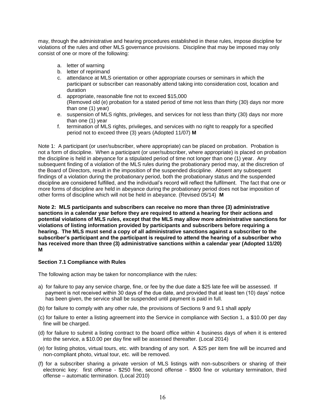may, through the administrative and hearing procedures established in these rules, impose discipline for violations of the rules and other MLS governance provisions. Discipline that may be imposed may only consist of one or more of the following:

- a. letter of warning
- b. letter of reprimand
- c. attendance at MLS orientation or other appropriate courses or seminars in which the participant or subscriber can reasonably attend taking into consideration cost, location and duration
- d. appropriate, reasonable fine not to exceed \$15,000 (Removed old (e) probation for a stated period of time not less than thirty (30) days nor more than one (1) year)
- e. suspension of MLS rights, privileges, and services for not less than thirty (30) days nor more than one (1) year
- f. termination of MLS rights, privileges, and services with no right to reapply for a specified period not to exceed three (3) years (Adopted 11/07) **M**

Note 1: A participant (or user/subscriber, where appropriate) can be placed on probation. Probation is not a form of discipline. When a participant (or user/subscriber, where appropriate) is placed on probation the discipline is held in abeyance for a stipulated period of time not longer than one (1) year. Any subsequent finding of a violation of the MLS rules during the probationary period may, at the discretion of the Board of Directors, result in the imposition of the suspended discipline. Absent any subsequent findings of a violation during the probationary period, both the probationary status and the suspended discipline are considered fulfilled, and the individual's record will reflect the fulfilment. The fact that one or more forms of discipline are held in abeyance during the probationary period does not bar imposition of other forms of discipline which will not be held in abeyance. (Revised 05/14) **M**

**Note 2: MLS participants and subscribers can receive no more than three (3) administrative sanctions in a calendar year before they are required to attend a hearing for their actions and potential violations of MLS rules, except that the MLS may allow more administrative sanctions for violations of listing information provided by participants and subscribers before requiring a hearing. The MLS must send a copy of all administrative sanctions against a subscriber to the subscriber's participant and the participant is required to attend the hearing of a subscriber who has received more than three (3) administrative sanctions within a calendar year (Adopted 11/20) M**

### **Section 7.1 Compliance with Rules**

The following action may be taken for noncompliance with the rules:

- a) for failure to pay any service charge, fine, or fee by the due date a \$25 late fee will be assessed. If payment is not received within 30 days of the due date, and provided that at least ten (10) days' notice has been given, the service shall be suspended until payment is paid in full.
- (b) for failure to comply with any other rule, the provisions of Sections 9 and 9.1 shall apply
- (c) for failure to enter a listing agreement into the Service in compliance with Section 1, a \$10.00 per day fine will be charged.
- (d) for failure to submit a listing contract to the board office within 4 business days of when it is entered into the service, a \$10.00 per day fine will be assessed thereafter. (Local 2014)
- (e) for listing photos, virtual tours, etc. with branding of any sort. A \$25 per item fine will be incurred and non-compliant photo, virtual tour, etc. will be removed.
- (f) for a subscriber sharing a private version of MLS listings with non-subscribers or sharing of their electronic key: first offense - \$250 fine, second offense - \$500 fine or voluntary termination, third offense – automatic termination. (Local 2010)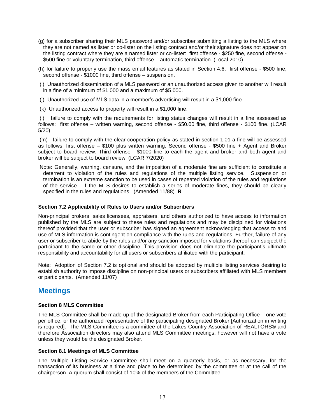- (g) for a subscriber sharing their MLS password and/or subscriber submitting a listing to the MLS where they are not named as lister or co-lister on the listing contract and/or their signature does not appear on the listing contract where they are a named lister or co-lister: first offense - \$250 fine, second offense - \$500 fine or voluntary termination, third offense – automatic termination. (Local 2010)
- (h) for failure to properly use the mass email features as stated in Section 4.6: first offense \$500 fine, second offense - \$1000 fine, third offense – suspension.
- (i) Unauthorized dissemination of a MLS password or an unauthorized access given to another will result in a fine of a minimum of \$1,000 and a maximum of \$5,000.
- (j) Unauthorized use of MLS data in a member's advertising will result in a \$1,000 fine.
- (k) Unauthorized access to property will result in a \$1,000 fine.

(l) failure to comply with the requirements for listing status changes will result in a fine assessed as follows: first offense – written warning, second offense - \$50.00 fine, third offense - \$100 fine. (LCAR 5/20)

(m) failure to comply with the clear cooperation policy as stated in section 1.01 a fine will be assessed as follows: first offense – \$100 plus written warning, Second offense - \$500 fine + Agent and Broker subject to board review. Third offense - \$1000 fine to each the agent and broker and both agent and broker will be subject to board review. (LCAR 7/2020)

Note: Generally, warning, censure, and the imposition of a moderate fine are sufficient to constitute a deterrent to violation of the rules and regulations of the multiple listing service. Suspension or termination is an extreme sanction to be used in cases of repeated violation of the rules and regulations of the service. If the MLS desires to establish a series of moderate fines, they should be clearly specified in the rules and regulations. (Amended 11/88) **R**

### **Section 7.2 Applicability of Rules to Users and/or Subscribers**

Non-principal brokers, sales licensees, appraisers, and others authorized to have access to information published by the MLS are subject to these rules and regulations and may be disciplined for violations thereof provided that the user or subscriber has signed an agreement acknowledging that access to and use of MLS information is contingent on compliance with the rules and regulations. Further, failure of any user or subscriber to abide by the rules and/or any sanction imposed for violations thereof can subject the participant to the same or other discipline. This provision does not eliminate the participant's ultimate responsibility and accountability for all users or subscribers affiliated with the participant.

Note: Adoption of Section 7.2 is optional and should be adopted by multiple listing services desiring to establish authority to impose discipline on non-principal users or subscribers affiliated with MLS members or participants. (Amended 11/07)

### **Meetings**

### **Section 8 MLS Committee**

The MLS Committee shall be made up of the designated Broker from each Participating Office – one vote per office, or the authorized representative of the participating designated Broker [Authorization in writing is required]. The MLS Committee is a committee of the Lakes Country Association of REALTORS® and therefore Association directors may also attend MLS Committee meetings, however will not have a vote unless they would be the designated Broker.

### **Section 8.1 Meetings of MLS Committee**

The Multiple Listing Service Committee shall meet on a quarterly basis, or as necessary, for the transaction of its business at a time and place to be determined by the committee or at the call of the chairperson. A quorum shall consist of 10% of the members of the Committee.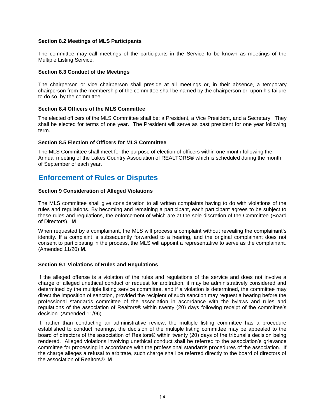### **Section 8.2 Meetings of MLS Participants**

The committee may call meetings of the participants in the Service to be known as meetings of the Multiple Listing Service.

### **Section 8.3 Conduct of the Meetings**

The chairperson or vice chairperson shall preside at all meetings or, in their absence, a temporary chairperson from the membership of the committee shall be named by the chairperson or, upon his failure to do so, by the committee.

### **Section 8.4 Officers of the MLS Committee**

The elected officers of the MLS Committee shall be: a President, a Vice President, and a Secretary. They shall be elected for terms of one year. The President will serve as past president for one year following term.

### **Section 8.5 Election of Officers for MLS Committee**

The MLS Committee shall meet for the purpose of election of officers within one month following the Annual meeting of the Lakes Country Association of REALTORS® which is scheduled during the month of September of each year.

### **Enforcement of Rules or Disputes**

### **Section 9 Consideration of Alleged Violations**

The MLS committee shall give consideration to all written complaints having to do with violations of the rules and regulations. By becoming and remaining a participant, each participant agrees to be subject to these rules and regulations, the enforcement of which are at the sole discretion of the Committee (Board of Directors). **M**

When requested by a complainant, the MLS will process a complaint without revealing the complainant's identity. If a complaint is subsequently forwarded to a hearing, and the original complainant does not consent to participating in the process, the MLS will appoint a representative to serve as the complainant. (Amended 11/20) **M.** 

### **Section 9.1 Violations of Rules and Regulations**

If the alleged offense is a violation of the rules and regulations of the service and does not involve a charge of alleged unethical conduct or request for arbitration, it may be administratively considered and determined by the multiple listing service committee, and if a violation is determined, the committee may direct the imposition of sanction, provided the recipient of such sanction may request a hearing before the professional standards committee of the association in accordance with the bylaws and rules and regulations of the association of Realtors® within twenty (20) days following receipt of the committee's decision. (Amended 11/96)

If, rather than conducting an administrative review, the multiple listing committee has a procedure established to conduct hearings, the decision of the multiple listing committee may be appealed to the board of directors of the association of Realtors® within twenty (20) days of the tribunal's decision being rendered. Alleged violations involving unethical conduct shall be referred to the association's grievance committee for processing in accordance with the professional standards procedures of the association. If the charge alleges a refusal to arbitrate, such charge shall be referred directly to the board of directors of the association of Realtors®. **M**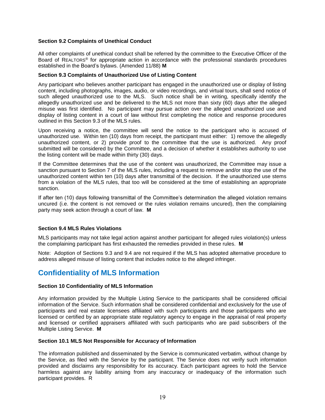### **Section 9.2 Complaints of Unethical Conduct**

All other complaints of unethical conduct shall be referred by the committee to the Executive Officer of the Board of REALTORS® for appropriate action in accordance with the professional standards procedures established in the Board's bylaws. (Amended 11/88) **M**

### **Section 9.3 Complaints of Unauthorized Use of Listing Content**

Any participant who believes another participant has engaged in the unauthorized use or display of listing content, including photographs, images, audio, or video recordings, and virtual tours, shall send notice of such alleged unauthorized use to the MLS. Such notice shall be in writing, specifically identify the allegedly unauthorized use and be delivered to the MLS not more than sixty (60) days after the alleged misuse was first identified. No participant may pursue action over the alleged unauthorized use and display of listing content in a court of law without first completing the notice and response procedures outlined in this Section 9.3 of the MLS rules.

Upon receiving a notice, the committee will send the notice to the participant who is accused of unauthorized use. Within ten (10) days from receipt, the participant must either: 1) remove the allegedly unauthorized content, or 2) provide proof to the committee that the use is authorized. Any proof submitted will be considered by the Committee, and a decision of whether it establishes authority to use the listing content will be made within thirty (30) days.

If the Committee determines that the use of the content was unauthorized, the Committee may issue a sanction pursuant to Section 7 of the MLS rules, including a request to remove and/or stop the use of the unauthorized content within ten (10) days after transmittal of the decision. If the unauthorized use stems from a violation of the MLS rules, that too will be considered at the time of establishing an appropriate sanction.

If after ten (10) days following transmittal of the Committee's determination the alleged violation remains uncured (i.e. the content is not removed or the rules violation remains uncured), then the complaining party may seek action through a court of law. **M**

### **Section 9.4 MLS Rules Violations**

MLS participants may not take legal action against another participant for alleged rules violation(s) unless the complaining participant has first exhausted the remedies provided in these rules. **M**

Note: Adoption of Sections 9.3 and 9.4 are not required if the MLS has adopted alternative procedure to address alleged misuse of listing content that includes notice to the alleged infringer.

### **Confidentiality of MLS Information**

### **Section 10 Confidentiality of MLS Information**

Any information provided by the Multiple Listing Service to the participants shall be considered official information of the Service. Such information shall be considered confidential and exclusively for the use of participants and real estate licensees affiliated with such participants and those participants who are licensed or certified by an appropriate state regulatory agency to engage in the appraisal of real property and licensed or certified appraisers affiliated with such participants who are paid subscribers of the Multiple Listing Service. **M**

### **Section 10.1 MLS Not Responsible for Accuracy of Information**

The information published and disseminated by the Service is communicated verbatim, without change by the Service, as filed with the Service by the participant. The Service does not verify such information provided and disclaims any responsibility for its accuracy. Each participant agrees to hold the Service harmless against any liability arising from any inaccuracy or inadequacy of the information such participant provides. R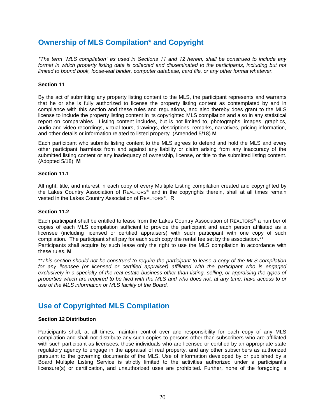### **Ownership of MLS Compilation\* and Copyright**

*\*The term "MLS compilation" as used in Sections 11 and 12 herein, shall be construed to include any*  format in which property listing data is collected and disseminated to the participants, including but not *limited to bound book, loose-leaf binder, computer database, card file, or any other format whatever.*

### **Section 11**

By the act of submitting any property listing content to the MLS, the participant represents and warrants that he or she is fully authorized to license the property listing content as contemplated by and in compliance with this section and these rules and regulations, and also thereby does grant to the MLS license to include the property listing content in its copyrighted MLS compilation and also in any statistical report on comparables. Listing content includes, but is not limited to, photographs, images, graphics, audio and video recordings, virtual tours, drawings, descriptions, remarks, narratives, pricing information, and other details or information related to listed property. (Amended 5/18) **M**

Each participant who submits listing content to the MLS agrees to defend and hold the MLS and every other participant harmless from and against any liability or claim arising from any inaccuracy of the submitted listing content or any inadequacy of ownership, license, or title to the submitted listing content. (Adopted 5/18) **M**

### **Section 11.1**

All right, title, and interest in each copy of every Multiple Listing compilation created and copyrighted by the Lakes Country Association of REALTORS® and in the copyrights therein, shall at all times remain vested in the Lakes Country Association of REALTORS®. R

### **Section 11.2**

Each participant shall be entitled to lease from the Lakes Country Association of REALTORS® a number of copies of each MLS compilation sufficient to provide the participant and each person affiliated as a licensee (including licensed or certified appraisers) with such participant with one copy of such compilation. The participant shall pay for each such copy the rental fee set by the association.<sup>\*</sup> Participants shall acquire by such lease only the right to use the MLS compilation in accordance with these rules. **M**

*\*\*This section should not be construed to require the participant to lease a copy of the MLS compilation for any licensee (or licensed or certified appraiser) affiliated with the participant who is engaged*  exclusively in a specialty of the real estate business other than listing, selling, or appraising the types of *properties which are required to be filed with the MLS and who does not, at any time, have access to or use of the MLS information or MLS facility of the Board.*

### **Use of Copyrighted MLS Compilation**

### **Section 12 Distribution**

Participants shall, at all times, maintain control over and responsibility for each copy of any MLS compilation and shall not distribute any such copies to persons other than subscribers who are affiliated with such participant as licensees, those individuals who are licensed or certified by an appropriate state regulatory agency to engage in the appraisal of real property, and any other subscribers as authorized pursuant to the governing documents of the MLS. Use of information developed by or published by a Board Multiple Listing Service is strictly limited to the activities authorized under a participant's licensure(s) or certification, and unauthorized uses are prohibited. Further, none of the foregoing is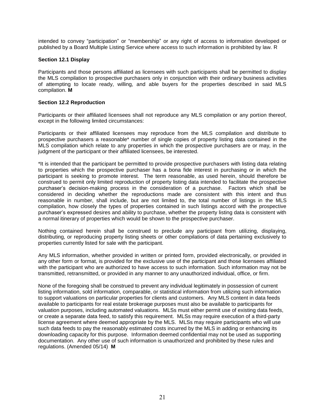intended to convey "participation" or "membership" or any right of access to information developed or published by a Board Multiple Listing Service where access to such information is prohibited by law. R

### **Section 12.1 Display**

Participants and those persons affiliated as licensees with such participants shall be permitted to display the MLS compilation to prospective purchasers only in conjunction with their ordinary business activities of attempting to locate ready, willing, and able buyers for the properties described in said MLS compilation. **M**

### **Section 12.2 Reproduction**

Participants or their affiliated licensees shall not reproduce any MLS compilation or any portion thereof, except in the following limited circumstances:

Participants or their affiliated licensees may reproduce from the MLS compilation and distribute to prospective purchasers a reasonable\* number of single copies of property listing data contained in the MLS compilation which relate to any properties in which the prospective purchasers are or may, in the judgment of the participant or their affiliated licensees, be interested.

\*It is intended that the participant be permitted to provide prospective purchasers with listing data relating to properties which the prospective purchaser has a bona fide interest in purchasing or in which the participant is seeking to promote interest. The term reasonable, as used herein, should therefore be construed to permit only limited reproduction of property listing data intended to facilitate the prospective purchaser's decision-making process in the consideration of a purchase. Factors which shall be considered in deciding whether the reproductions made are consistent with this intent and thus reasonable in number, shall include, but are not limited to, the total number of listings in the MLS compilation, how closely the types of properties contained in such listings accord with the prospective purchaser's expressed desires and ability to purchase, whether the property listing data is consistent with a normal itinerary of properties which would be shown to the prospective purchaser.

Nothing contained herein shall be construed to preclude any participant from utilizing, displaying, distributing, or reproducing property listing sheets or other compilations of data pertaining exclusively to properties currently listed for sale with the participant.

Any MLS information, whether provided in written or printed form, provided electronically, or provided in any other form or format, is provided for the exclusive use of the participant and those licensees affiliated with the participant who are authorized to have access to such information. Such information may not be transmitted, retransmitted, or provided in any manner to any unauthorized individual, office, or firm.

None of the foregoing shall be construed to prevent any individual legitimately in possession of current listing information, sold information, comparable, or statistical information from utilizing such information to support valuations on particular properties for clients and customers. Any MLS content in data feeds available to participants for real estate brokerage purposes must also be available to participants for valuation purposes, including automated valuations. MLSs must either permit use of existing data feeds, or create a separate data feed, to satisfy this requirement. MLSs may require execution of a third-party license agreement where deemed appropriate by the MLS. MLSs may require participants who will use such data feeds to pay the reasonably estimated costs incurred by the MLS in adding or enhancing its downloading capacity for this purpose. Information deemed confidential may not be used as supporting documentation. Any other use of such information is unauthorized and prohibited by these rules and regulations. (Amended 05/14) **M**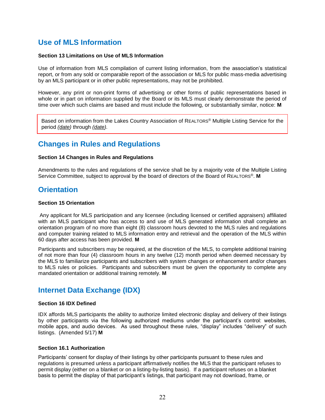### **Use of MLS Information**

### **Section 13 Limitations on Use of MLS Information**

Use of information from MLS compilation of current listing information, from the association's statistical report, or from any sold or comparable report of the association or MLS for public mass-media advertising by an MLS participant or in other public representations, may not be prohibited.

However, any print or non-print forms of advertising or other forms of public representations based in whole or in part on information supplied by the Board or its MLS must clearly demonstrate the period of time over which such claims are based and must include the following, or substantially similar, notice: **M**

Based on information from the Lakes Country Association of REALTORS® Multiple Listing Service for the period *(date)* through *(date).*

### **Changes in Rules and Regulations**

### **Section 14 Changes in Rules and Regulations**

Amendments to the rules and regulations of the service shall be by a majority vote of the Multiple Listing Service Committee, subject to approval by the board of directors of the Board of REALTORS®. **M**

### **Orientation**

### **Section 15 Orientation**

Any applicant for MLS participation and any licensee (including licensed or certified appraisers) affiliated with an MLS participant who has access to and use of MLS generated information shall complete an orientation program of no more than eight (8) classroom hours devoted to the MLS rules and regulations and computer training related to MLS information entry and retrieval and the operation of the MLS within 60 days after access has been provided. **M**

Participants and subscribers may be required, at the discretion of the MLS, to complete additional training of not more than four (4) classroom hours in any twelve (12) month period when deemed necessary by the MLS to familiarize participants and subscribers with system changes or enhancement and/or changes to MLS rules or policies. Participants and subscribers must be given the opportunity to complete any mandated orientation or additional training remotely. **M**

### **Internet Data Exchange (IDX)**

### **Section 16 IDX Defined**

IDX affords MLS participants the ability to authorize limited electronic display and delivery of their listings by other participants via the following authorized mediums under the participant's control: websites, mobile apps, and audio devices. As used throughout these rules, "display" includes "delivery" of such listings. (Amended 5/17) **M**

### **Section 16.1 Authorization**

Participants' consent for display of their listings by other participants pursuant to these rules and regulations is presumed unless a participant affirmatively notifies the MLS that the participant refuses to permit display (either on a blanket or on a listing-by-listing basis). If a participant refuses on a blanket basis to permit the display of that participant's listings, that participant may not download, frame, or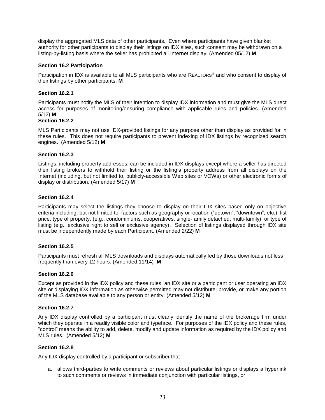display the aggregated MLS data of other participants. Even where participants have given blanket authority for other participants to display their listings on IDX sites, such consent may be withdrawn on a listing-by-listing basis where the seller has prohibited all Internet display. (Amended 05/12) **M**

### **Section 16.2 Participation**

Participation in IDX is available to all MLS participants who are REALTORS® and who consent to display of their listings by other participants. **M**

### **Section 16.2.1**

Participants must notify the MLS of their intention to display IDX information and must give the MLS direct access for purposes of monitoring/ensuring compliance with applicable rules and policies. (Amended 5/12) **M**

### **Section 16.2.2**

MLS Participants may not use IDX-provided listings for any purpose other than display as provided for in these rules. This does not require participants to prevent indexing of IDX listings by recognized search engines. (Amended 5/12) **M**

### **Section 16.2.3**

Listings, including property addresses, can be included in IDX displays except where a seller has directed their listing brokers to withhold their listing or the listing's property address from all displays on the Internet (including, but not limited to, publicly-accessible Web sites or VOWs) or other electronic forms of display or distribution. (Amended 5/17) **M**

### **Section 16.2.4**

Participants may select the listings they choose to display on their IDX sites based only on objective criteria including, but not limited to, factors such as geography or location ("uptown", "downtown", etc.), list price, type of property, (e.g., condominiums, cooperatives, single-family detached, multi-family), or type of listing (e.g., exclusive right to sell or exclusive agency). Selection of listings displayed through IDX site must be independently made by each Participant. (Amended 2/22) **M**

### **Section 16.2.5**

Participants must refresh all MLS downloads and displays automatically fed by those downloads not less frequently than every 12 hours. (Amended 11/14) **M**

### **Section 16.2.6**

Except as provided in the IDX policy and these rules, an IDX site or a participant or user operating an IDX site or displaying IDX information as otherwise permitted may not distribute, provide, or make any portion of the MLS database available to any person or entity. (Amended 5/12) **M**

### **Section 16.2.7**

Any IDX display controlled by a participant must clearly identify the name of the brokerage firm under which they operate in a readily visible color and typeface. For purposes of the IDX policy and these rules, "control" means the ability to add, delete, modify and update information as required by the IDX policy and MLS rules. (Amended 5/12) **M**

### **Section 16.2.8**

Any IDX display controlled by a participant or subscriber that

a. allows third-parties to write comments or reviews about particular listings or displays a hyperlink to such comments or reviews in immediate conjunction with particular listings, or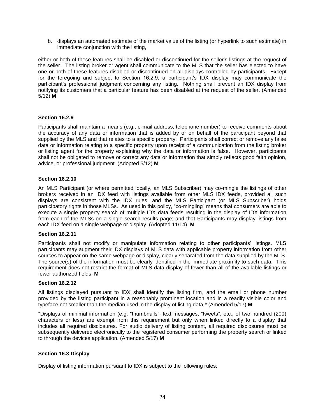b. displays an automated estimate of the market value of the listing (or hyperlink to such estimate) in immediate conjunction with the listing,

either or both of these features shall be disabled or discontinued for the seller's listings at the request of the seller. The listing broker or agent shall communicate to the MLS that the seller has elected to have one or both of these features disabled or discontinued on all displays controlled by participants. Except for the foregoing and subject to Section 16.2.9, a participant's IDX display may communicate the participant's professional judgment concerning any listing. Nothing shall prevent an IDX display from notifying its customers that a particular feature has been disabled at the request of the seller. (Amended 5/12) **M**

### **Section 16.2.9**

Participants shall maintain a means (e.g., e-mail address, telephone number) to receive comments about the accuracy of any data or information that is added by or on behalf of the participant beyond that supplied by the MLS and that relates to a specific property. Participants shall correct or remove any false data or information relating to a specific property upon receipt of a communication from the listing broker or listing agent for the property explaining why the data or information is false. However, participants shall not be obligated to remove or correct any data or information that simply reflects good faith opinion, advice, or professional judgment. (Adopted 5/12) **M**

### **Section 16.2.10**

An MLS Participant (or where permitted locally, an MLS Subscriber) may co-mingle the listings of other brokers received in an IDX feed with listings available from other MLS IDX feeds, provided all such displays are consistent with the IDX rules, and the MLS Participant (or MLS Subscriber) holds participatory rights in those MLSs. As used in this policy, "co-mingling" means that consumers are able to execute a single property search of multiple IDX data feeds resulting in the display of IDX information from each of the MLSs on a single search results page; and that Participants may display listings from each IDX feed on a single webpage or display. (Adopted 11/14) **M**

### **Section 16.2.11**

Participants shall not modify or manipulate information relating to other participants' listings. MLS participants may augment their IDX displays of MLS data with applicable property information from other sources to appear on the same webpage or display, clearly separated from the data supplied by the MLS. The source(s) of the information must be clearly identified in the immediate proximity to such data. This requirement does not restrict the format of MLS data display of fewer than all of the available listings or fewer authorized fields. **M**

### **Section 16.2.12**

All listings displayed pursuant to IDX shall identify the listing firm, and the email or phone number provided by the listing participant in a reasonably prominent location and in a readily visible color and typeface not smaller than the median used in the display of listing data.\* (Amended 5/17) **M**

\*Displays of minimal information (e.g. "thumbnails", text messages, "tweets", etc., of two hundred (200) characters or less) are exempt from this requirement but only when linked directly to a display that includes all required disclosures. For audio delivery of listing content, all required disclosures must be subsequently delivered electronically to the registered consumer performing the property search or linked to through the devices application. (Amended 5/17) **M**

### **Section 16.3 Display**

Display of listing information pursuant to IDX is subject to the following rules: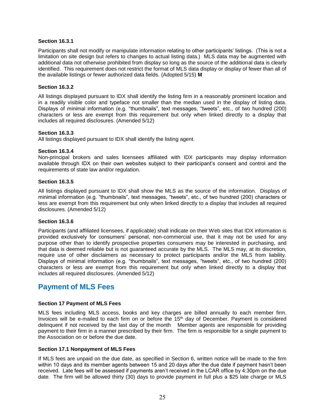### **Section 16.3.1**

Participants shall not modify or manipulate information relating to other participants' listings. (This is not a limitation on site design but refers to changes to actual listing data.) MLS data may be augmented with additional data not otherwise prohibited from display so long as the source of the additional data is clearly identified. This requirement does not restrict the format of MLS data display or display of fewer than all of the available listings or fewer authorized data fields. (Adopted 5/15) **M**

### **Section 16.3.2**

All listings displayed pursuant to IDX shall identify the listing firm in a reasonably prominent location and in a readily visible color and typeface not smaller than the median used in the display of listing data. Displays of minimal information (e.g. "thumbnails", text messages, "tweets", etc., of two hundred (200) characters or less are exempt from this requirement but only when linked directly to a display that includes all required disclosures. (Amended 5/12)

### **Section 16.3.3**

All listings displayed pursuant to IDX shall identify the listing agent.

### **Section 16.3.4**

Non-principal brokers and sales licensees affiliated with IDX participants may display information available through IDX on their own websites subject to their participant's consent and control and the requirements of state law and/or regulation.

### **Section 16.3.5**

All listings displayed pursuant to IDX shall show the MLS as the source of the information. Displays of minimal information (e.g. "thumbnails", text messages, "tweets", etc., of two hundred (200) characters or less are exempt from this requirement but only when linked directly to a display that includes all required disclosures. (Amended 5/12)

### **Section 16.3.6**

Participants (and affiliated licensees, if applicable) shall indicate on their Web sites that IDX information is provided exclusively for consumers' personal, non-commercial use, that it may not be used for any purpose other than to identify prospective properties consumers may be interested in purchasing, and that data is deemed reliable but is not guaranteed accurate by the MLS. The MLS may, at its discretion, require use of other disclaimers as necessary to protect participants and/or the MLS from liability. Displays of minimal information (e.g. "thumbnails", text messages, "tweets", etc., of two hundred (200) characters or less are exempt from this requirement but only when linked directly to a display that includes all required disclosures. (Amended 5/12)

### **Payment of MLS Fees**

### **Section 17 Payment of MLS Fees**

MLS fees including MLS access, books and key charges are billed annually to each member firm. Invoices will be e-mailed to each firm on or before the 15th day of December. Payment is considered delinquent if not received by the last day of the month Member agents are responsible for providing payment to their firm in a manner prescribed by their firm. The firm is responsible for a single payment to the Association on or before the due date.

### **Section 17.1 Nonpayment of MLS Fees**

If MLS fees are unpaid on the due date, as specified in Section 6, written notice will be made to the firm within 10 days and its member agents between 15 and 20 days after the due date if payment hasn't been received. Late fees will be assessed if payments aren't received in the LCAR office by 4:30pm on the due date. The firm will be allowed thirty (30) days to provide payment in full plus a \$25 late charge or MLS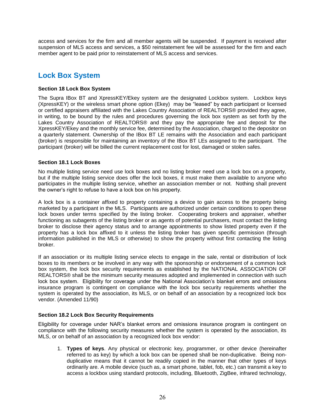access and services for the firm and all member agents will be suspended. If payment is received after suspension of MLS access and services, a \$50 reinstatement fee will be assessed for the firm and each member agent to be paid prior to reinstatement of MLS access and services.

### **Lock Box System**

### **Section 18 Lock Box System**

The Supra IBox BT and XpressKEY/Ekey system are the designated Lockbox system. Lockbox keys (XpressKEY) or the wireless smart phone option (Ekey) may be "leased" by each participant or licensed or certified appraisers affiliated with the Lakes Country Association of REALTORS® provided they agree, in writing, to be bound by the rules and procedures governing the lock box system as set forth by the Lakes Country Association of REALTORS® and they pay the appropriate fee and deposit for the XpressKEY/Ekey and the monthly service fee, determined by the Association, charged to the depositor on a quarterly statement. Ownership of the IBox BT LE remains with the Association and each participant (broker) is responsible for maintaining an inventory of the IBox BT LEs assigned to the participant. The participant (broker) will be billed the current replacement cost for lost, damaged or stolen safes.

### **Section 18.1 Lock Boxes**

No multiple listing service need use lock boxes and no listing broker need use a lock box on a property, but if the multiple listing service does offer the lock boxes, it must make them available to anyone who participates in the multiple listing service, whether an association member or not. Nothing shall prevent the owner's right to refuse to have a lock box on his property.

A lock box is a container affixed to property containing a device to gain access to the property being marketed by a participant in the MLS. Participants are authorized under certain conditions to open these lock boxes under terms specified by the listing broker. Cooperating brokers and appraiser, whether functioning as subagents of the listing broker or as agents of potential purchasers, must contact the listing broker to disclose their agency status and to arrange appointments to show listed property even if the property has a lock box affixed to it unless the listing broker has given specific permission (through information published in the MLS or otherwise) to show the property without first contacting the listing broker.

If an association or its multiple listing service elects to engage in the sale, rental or distribution of lock boxes to its members or be involved in any way with the sponsorship or endorsement of a common lock box system, the lock box security requirements as established by the NATIONAL ASSOCIATION OF REALTORS® shall be the minimum security measures adopted and implemented in connection with such lock box system. Eligibility for coverage under the National Association's blanket errors and omissions insurance program is contingent on compliance with the lock box security requirements whether the system is operated by the association, its MLS, or on behalf of an association by a recognized lock box vendor. (Amended 11/90)

### **Section 18.2 Lock Box Security Requirements**

Eligibility for coverage under NAR's blanket errors and omissions insurance program is contingent on compliance with the following security measures whether the system is operated by the association, its MLS, or on behalf of an association by a recognized lock box vendor:

1. **Types of keys**. Any physical or electronic key, programmer, or other device (hereinafter referred to as key) by which a lock box can be opened shall be non-duplicative. Being nonduplicative means that it cannot be readily copied in the manner that other types of keys ordinarily are. A mobile device (such as, a smart phone, tablet, fob, etc.) can transmit a key to access a lockbox using standard protocols, including, Bluetooth, ZigBee, infrared technology,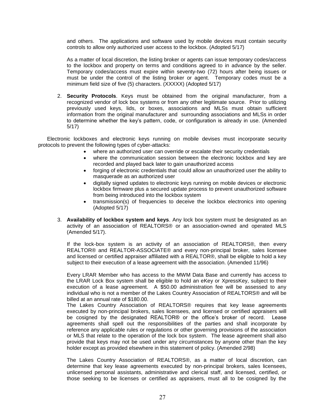and others. The applications and software used by mobile devices must contain security controls to allow only authorized user access to the lockbox. (Adopted 5/17)

As a matter of local discretion, the listing broker or agents can issue temporary codes/access to the lockbox and property on terms and conditions agreed to in advance by the seller. Temporary codes/access must expire within seventy-two (72) hours after being issues or must be under the control of the listing broker or agent. Temporary codes must be a minimum field size of five (5) characters. (XXXXX) (Adopted 5/17)

2. **Security Protocols**. Keys must be obtained from the original manufacturer, from a recognized vendor of lock box systems or from any other legitimate source. Prior to utilizing previously used keys, lids, or boxes, associations and MLSs must obtain sufficient information from the original manufacturer and surrounding associations and MLSs in order to determine whether the key's pattern, code, or configuration is already in use. (Amended 5/17)

 Electronic lockboxes and electronic keys running on mobile devises must incorporate security protocols to prevent the following types of cyber-attacks:

- where an authorized user can override or escalate their security credentials
- where the communication session between the electronic lockbox and key are recorded and played back later to gain unauthorized access
- forging of electronic credentials that could allow an unauthorized user the ability to masquerade as an authorized user
- digitally signed updates to electronic keys running on mobile devices or electronic lockbox firmware plus a secured update process to prevent unauthorized software from being introduced into the lockbox system
- transmission(s) of frequencies to deceive the lockbox electronics into opening (Adopted 5/17)
- 3. **Availability of lockbox system and keys**. Any lock box system must be designated as an activity of an association of REALTORS® or an association-owned and operated MLS (Amended 5/17).

If the lock-box system is an activity of an association of REALTORS®, then every REALTOR® and REALTOR-ASSOCIATE® and every non-principal broker, sales licensee and licensed or certified appraiser affiliated with a REALTOR®, shall be eligible to hold a key subject to their execution of a lease agreement with the association. (Amended 11/96)

Every LRAR Member who has access to the MWM Data Base and currently has access to the LRAR Lock Box system shall be eligible to hold an eKey or XpressKey, subject to their execution of a lease agreement. A \$50.00 administration fee will be assessed to any individual who is not a member of the Lakes Country Association of REALTORS® and will be billed at an annual rate of \$180.00.

The Lakes Country Association of REALTORS® requires that key lease agreements executed by non-principal brokers, sales licensees, and licensed or certified appraisers will be cosigned by the designated REALTOR® or the office's broker of record. Lease agreements shall spell out the responsibilities of the parties and shall incorporate by reference any applicable rules or regulations or other governing provisions of the association or MLS that relate to the operation of the lock box system. The lease agreement shall also provide that keys may not be used under any circumstances by anyone other than the key holder except as provided elsewhere in this statement of policy. (Amended 2/98)

The Lakes Country Association of REALTORS®, as a matter of local discretion, can determine that key lease agreements executed by non-principal brokers, sales licensees, unlicensed personal assistants, administrative and clerical staff, and licensed, certified, or those seeking to be licenses or certified as appraisers, must all to be cosigned by the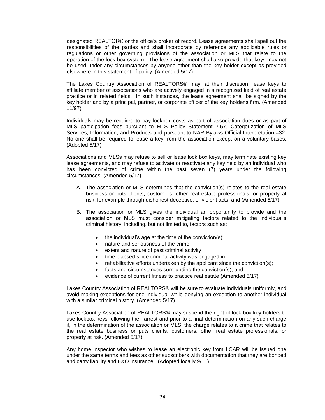designated REALTOR® or the office's broker of record. Lease agreements shall spell out the responsibilities of the parties and shall incorporate by reference any applicable rules or regulations or other governing provisions of the association or MLS that relate to the operation of the lock box system. The lease agreement shall also provide that keys may not be used under any circumstances by anyone other than the key holder except as provided elsewhere in this statement of policy. (Amended 5/17)

The Lakes Country Association of REALTORS® may, at their discretion, lease keys to affiliate member of associations who are actively engaged in a recognized field of real estate practice or in related fields. In such instances, the lease agreement shall be signed by the key holder and by a principal, partner, or corporate officer of the key holder's firm. (Amended 11/97)

Individuals may be required to pay lockbox costs as part of association dues or as part of MLS participation fees pursuant to MLS Policy Statement 7.57, Categorization of MLS Services, Information, and Products and pursuant to NAR Bylaws Official Interpretation #32. No one shall be required to lease a key from the association except on a voluntary bases. (Adopted 5/17)

Associations and MLSs may refuse to sell or lease lock box keys, may terminate existing key lease agreements, and may refuse to activate or reactivate any key held by an individual who has been convicted of crime within the past seven (7) years under the following circumstances: (Amended 5/17)

- A. The association or MLS determines that the conviction(s) relates to the real estate business or puts clients, customers, other real estate professionals, or property at risk, for example through dishonest deceptive, or violent acts; and (Amended 5/17)
- B. The association or MLS gives the individual an opportunity to provide and the association or MLS must consider mitigating factors related to the individual's criminal history, including, but not limited to, factors such as:
	- the individual's age at the time of the conviction(s);
	- nature and seriousness of the crime
	- extent and nature of past criminal activity
	- time elapsed since criminal activity was engaged in;
	- rehabilitative efforts undertaken by the applicant since the conviction(s);
	- facts and circumstances surrounding the conviction(s); and
	- evidence of current fitness to practice real estate (Amended 5/17)

Lakes Country Association of REALTORS® will be sure to evaluate individuals uniformly, and avoid making exceptions for one individual while denying an exception to another individual with a similar criminal history. (Amended 5/17)

Lakes Country Association of REALTORS® may suspend the right of lock box key holders to use lockbox keys following their arrest and prior to a final determination on any such charge if, in the determination of the association or MLS, the charge relates to a crime that relates to the real estate business or puts clients, customers, other real estate professionals, or property at risk. (Amended 5/17)

Any home inspector who wishes to lease an electronic key from LCAR will be issued one under the same terms and fees as other subscribers with documentation that they are bonded and carry liability and E&O insurance. (Adopted locally 9/11)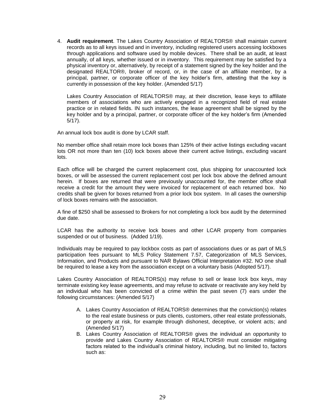4. **Audit requirement**. The Lakes Country Association of REALTORS® shall maintain current records as to all keys issued and in inventory, including registered users accessing lockboxes through applications and software used by mobile devices. There shall be an audit, at least annually, of all keys, whether issued or in inventory. This requirement may be satisfied by a physical inventory or, alternatively, by receipt of a statement signed by the key holder and the designated REALTOR®, broker of record, or, in the case of an affiliate member, by a principal, partner, or corporate officer of the key holder's firm, attesting that the key is currently in possession of the key holder. (Amended 5/17)

Lakes Country Association of REALTORS® may, at their discretion, lease keys to affiliate members of associations who are actively engaged in a recognized field of real estate practice or in related fields. IN such instances, the lease agreement shall be signed by the key holder and by a principal, partner, or corporate officer of the key holder's firm (Amended 5/17).

An annual lock box audit is done by LCAR staff.

No member office shall retain more lock boxes than 125% of their active listings excluding vacant lots OR not more than ten (10) lock boxes above their current active listings, excluding vacant lots.

Each office will be charged the current replacement cost, plus shipping for unaccounted lock boxes, or will be assessed the current replacement cost per lock box above the defined amount herein. If boxes are returned that were previously unaccounted for, the member office shall receive a credit for the amount they were invoiced for replacement of each returned box. No credits shall be given for boxes returned from a prior lock box system. In all cases the ownership of lock boxes remains with the association.

A fine of \$250 shall be assessed to Brokers for not completing a lock box audit by the determined due date.

LCAR has the authority to receive lock boxes and other LCAR property from companies suspended or out of business. (Added 1/19).

Individuals may be required to pay lockbox costs as part of associations dues or as part of MLS participation fees pursuant to MLS Policy Statement 7.57, Categorization of MLS Services, Information, and Products and pursuant to NAR Bylaws Official Interpretation #32. NO one shall be required to lease a key from the association except on a voluntary basis (Adopted 5/17).

Lakes Country Association of REALTORS(s) may refuse to sell or lease lock box keys, may terminate existing key lease agreements, and may refuse to activate or reactivate any key held by an individual who has been convicted of a crime within the past seven (7) ears under the following circumstances: (Amended 5/17)

- A. Lakes Country Association of REALTORS® determines that the conviction(s) relates to the real estate business or puts clients, customers, other real estate professionals, or property at risk, for example through dishonest, deceptive, or violent acts; and (Amended 5/17)
- B. Lakes Country Association of REALTORS® gives the individual an opportunity to provide and Lakes Country Association of REALTORS® must consider mitigating factors related to the individual's criminal history, including, but no limited to, factors such as: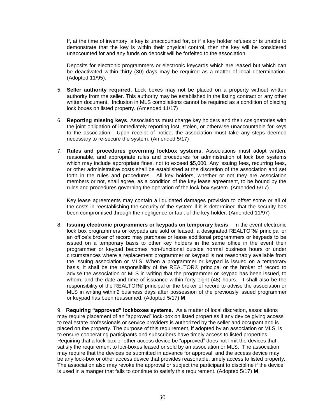If, at the time of inventory, a key is unaccounted for, or if a key holder refuses or is unable to demonstrate that the key is within their physical control, then the key will be considered unaccounted for and any funds on deposit will be forfeited to the association

Deposits for electronic programmers or electronic keycards which are leased but which can be deactivated within thirty (30) days may be required as a matter of local determination. (Adopted 11/95).

- 5. **Seller authority required**. Lock boxes may not be placed on a property without written authority from the seller. This authority may be established in the listing contract or any other written document. Inclusion in MLS compilations cannot be required as a condition of placing lock boxes on listed property. (Amended 11/17)
- 6. **Reporting missing keys**. Associations must charge key holders and their cosignatories with the joint obligation of immediately reporting lost, stolen, or otherwise unaccountable for keys to the association. Upon receipt of notice, the association must take any steps deemed necessary to re-secure the system. (Amended 5/17)
- 7. **Rules and procedures governing lockbox systems**. Associations must adopt written, reasonable, and appropriate rules and procedures for administration of lock box systems which may include appropriate fines, not to exceed \$5,000. Any issuing fees, recurring fees, or other administrative costs shall be established at the discretion of the association and set forth in the rules and procedures. All key holders, whether or not they are association members or not, shall agree, as a condition of the key lease agreement, to be bound by the rules and procedures governing the operation of the lock box system. (Amended 5/17)

Key lease agreements may contain a liquidated damages provision to offset some or all of the costs in reestablishing the security of the system if it is determined that the security has been compromised through the negligence or fault of the key holder. (Amended 11/97)

8. **Issuing electronic programmers or keypads on temporary basis**. In the event electronic lock box programmers or keypads are sold or leased, a designated REALTOR® principal or an office's broker of record may purchase or lease additional programmers or keypads to be issued on a temporary basis to other key holders in the same office in the event their programmer or keypad becomes non-functional outside normal business hours or under circumstances where a replacement programmer or keypad is not reasonably available from the issuing association or MLS. When a programmer or keypad is issued on a temporary basis, it shall be the responsibility of the REALTOR® principal or the broker of record to advise the association or MLS in writing that the programmer or keypad has been issued, to whom, and the date and time of issuance within forty-eight (48) hours. It shall also be the responsibility of the REALTOR® principal or the broker of record to advise the association or MLS in writing within2 business days after possession of the previously issued programmer or keypad has been reassumed. (Adopted 5/17) **M**

9. **Requiring "approved" lockboxes systems**. As a matter of local discretion, associations may require placement of an "approved" lock-box on listed properties if any device giving access to real estate professionals or service providers is authorized by the seller and occupant and is placed on the property. The purpose of this requirement, if adopted by an association or MLS, is to ensure cooperating participants and subscribers have timely access to listed properties. Requiring that a lock-box or other access device be "approved" does not limit the devices that satisfy the requirement to loci-boxes leased or sold by an association or MLS. The association may require that the devices be submitted in advance for approval, and the access device may be any lock-box or other access device that provides reasonable, timely access to listed property. The association also may revoke the approval or subject the participant to discipline if the device is used in a manger that fails to continue to satisfy this requirement. (Adopted 5/17) **M**.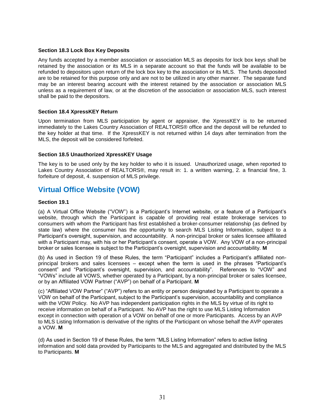### **Section 18.3 Lock Box Key Deposits**

Any funds accepted by a member association or association MLS as deposits for lock box keys shall be retained by the association or its MLS in a separate account so that the funds will be available to be refunded to depositors upon return of the lock box key to the association or its MLS. The funds deposited are to be retained for this purpose only and are not to be utilized in any other manner. The separate fund may be an interest bearing account with the interest retained by the association or association MLS unless as a requirement of law, or at the discretion of the association or association MLS, such interest shall be paid to the depositors.

### **Section 18.4 XpressKEY Return**

Upon termination from MLS participation by agent or appraiser, the XpressKEY is to be returned immediately to the Lakes Country Association of REALTORS® office and the deposit will be refunded to the key holder at that time. If the XpressKEY is not returned within 14 days after termination from the MLS, the deposit will be considered forfeited.

### **Section 18.5 Unauthorized XpressKEY Usage**

The key is to be used only by the key holder to who it is issued. Unauthorized usage, when reported to Lakes Country Association of REALTORS®, may result in: 1. a written warning, 2. a financial fine, 3. forfeiture of deposit, 4. suspension of MLS privilege.

### **Virtual Office Website (VOW)**

### **Section 19.1**

(a) A Virtual Office Website ("VOW") is a Participant's Internet website, or a feature of a Participant's website, through which the Participant is capable of providing real estate brokerage services to consumers with whom the Participant has first established a broker-consumer relationship (as defined by state law) where the consumer has the opportunity to search MLS Listing Information, subject to a Participant's oversight, supervision, and accountability. A non-principal broker or sales licensee affiliated with a Participant may, with his or her Participant's consent, operate a VOW. Any VOW of a non-principal broker or sales licensee is subject to the Participant's oversight, supervision and accountability. **M**

(b) As used in Section 19 of these Rules, the term "Participant" includes a Participant's affiliated nonprincipal brokers and sales licensees – except when the term is used in the phrases "Participant's consent" and "Participant's oversight, supervision, and accountability". References to "VOW" and "VOWs" include all VOWS, whether operated by a Participant, by a non-principal broker or sales licensee, or by an Affiliated VOW Partner ("AVP") on behalf of a Participant. **M**

(c) "Affiliated VOW Partner" ("AVP") refers to an entity or person designated by a Participant to operate a VOW on behalf of the Participant, subject to the Participant's supervision, accountability and compliance with the VOW Policy. No AVP has independent participation rights in the MLS by virtue of its right to receive information on behalf of a Participant. No AVP has the right to use MLS Listing Information except in connection with operation of a VOW on behalf of one or more Participants. Access by an AVP to MLS Listing Information is derivative of the rights of the Participant on whose behalf the AVP operates a VOW. **M**

(d) As used in Section 19 of these Rules, the term "MLS Listing Information" refers to active listing information and sold data provided by Participants to the MLS and aggregated and distributed by the MLS to Participants. **M**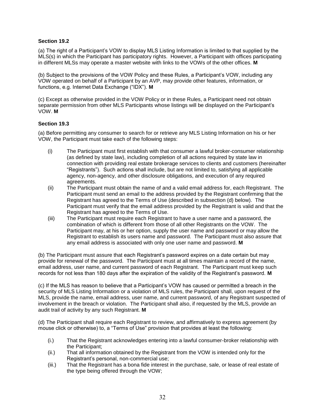### **Section 19.2**

(a) The right of a Participant's VOW to display MLS Listing Information is limited to that supplied by the MLS(s) in which the Participant has participatory rights. However, a Participant with offices participating in different MLSs may operate a master website with links to the VOWs of the other offices. **M**

(b) Subject to the provisions of the VOW Policy and these Rules, a Participant's VOW, including any VOW operated on behalf of a Participant by an AVP, may provide other features, information, or functions, e.g. Internet Data Exchange ("IDX"). **M**

(c) Except as otherwise provided in the VOW Policy or in these Rules, a Participant need not obtain separate permission from other MLS Participants whose listings will be displayed on the Participant's VOW. **M**

### **Section 19.3**

(a) Before permitting any consumer to search for or retrieve any MLS Listing Information on his or her VOW, the Participant must take each of the following steps:

- (i) The Participant must first establish with that consumer a lawful broker-consumer relationship (as defined by state law), including completion of all actions required by state law in connection with providing real estate brokerage services to clients and customers (hereinafter "Registrants"). Such actions shall include, but are not limited to, satisfying all applicable agency, non-agency, and other disclosure obligations, and execution of any required agreements.
- (ii) The Participant must obtain the name of and a valid email address for, each Registrant. The Participant must send an email to the address provided by the Registrant confirming that the Registrant has agreed to the Terms of Use (described in subsection (d) below). The Participant must verify that the email address provided by the Registrant is valid and that the Registrant has agreed to the Terms of Use.
- (iii) The Participant must require each Registrant to have a user name and a password, the combination of which is different from those of all other Registrants on the VOW. The Participant may, at his or her option, supply the user name and password or may allow the Registrant to establish its users name and password. The Participant must also assure that any email address is associated with only one user name and password. **M**

(b) The Participant must assure that each Registrant's password expires on a date certain but may provide for renewal of the password. The Participant must at all times maintain a record of the name, email address, user name, and current password of each Registrant. The Participant must keep such records for not less than 180 days after the expiration of the validity of the Registrant's password. **M**

(c) If the MLS has reason to believe that a Participant's VOW has caused or permitted a breach in the security of MLS Listing Information or a violation of MLS rules, the Participant shall, upon request of the MLS, provide the name, email address, user name, and current password, of any Registrant suspected of involvement in the breach or violation. The Participant shall also, if requested by the MLS, provide an audit trail of activity by any such Registrant. **M**

(d) The Participant shall require each Registrant to review, and affirmatively to express agreement (by mouse click or otherwise) to, a "Terms of Use" provision that provides at least the following:

- (i.) That the Registrant acknowledges entering into a lawful consumer-broker relationship with the Participant;
- (ii.) That all information obtained by the Registrant from the VOW is intended only for the Registrant's personal, non-commercial use;
- (iii.) That the Registrant has a bona fide interest in the purchase, sale, or lease of real estate of the type being offered through the VOW;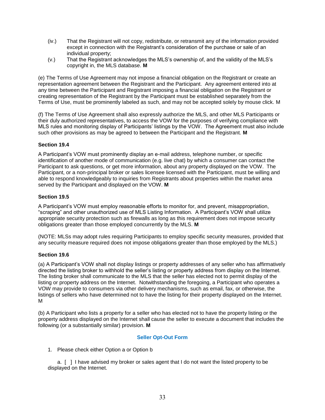- (iv.) That the Registrant will not copy, redistribute, or retransmit any of the information provided except in connection with the Registrant's consideration of the purchase or sale of an individual property;
- (v.) That the Registrant acknowledges the MLS's ownership of, and the validity of the MLS's copyright in, the MLS database. **M**

(e) The Terms of Use Agreement may not impose a financial obligation on the Registrant or create an representation agreement between the Registrant and the Participant. Any agreement entered into at any time between the Participant and Registrant imposing a financial obligation on the Registrant or creating representation of the Registrant by the Participant must be established separately from the Terms of Use, must be prominently labeled as such, and may not be accepted solely by mouse click. M

(f) The Terms of Use Agreement shall also expressly authorize the MLS, and other MLS Participants or their duly authorized representatives, to access the VOW for the purposes of verifying compliance with MLS rules and monitoring display of Participants' listings by the VOW. The Agreement must also include such other provisions as may be agreed to between the Participant and the Registrant. **M**

### **Section 19.4**

A Participant's VOW must prominently display an e-mail address, telephone number, or specific identification of another mode of communication (e.g. live chat) by which a consumer can contact the Participant to ask questions, or get more information, about any property displayed on the VOW. The Participant, or a non-principal broker or sales licensee licensed with the Participant, must be willing and able to respond knowledgeably to inquiries from Registrants about properties within the market area served by the Participant and displayed on the VOW. **M**

### **Section 19.5**

A Participant's VOW must employ reasonable efforts to monitor for, and prevent, misappropriation, "scraping" and other unauthorized use of MLS Listing Information. A Participant's VOW shall utilize appropriate security protection such as firewalls as long as this requirement does not impose security obligations greater than those employed concurrently by the MLS. **M**

(NOTE: MLSs may adopt rules requiring Participants to employ specific security measures, provided that any security measure required does not impose obligations greater than those employed by the MLS.)

### **Section 19.6**

(a) A Participant's VOW shall not display listings or property addresses of any seller who has affirmatively directed the listing broker to withhold the seller's listing or property address from display on the Internet. The listing broker shall communicate to the MLS that the seller has elected not to permit display of the listing or property address on the Internet. Notwithstanding the foregoing, a Participant who operates a VOW may provide to consumers via other delivery mechanisms, such as email, fax, or otherwise, the listings of sellers who have determined not to have the listing for their property displayed on the Internet. M

(b) A Participant who lists a property for a seller who has elected not to have the property listing or the property address displayed on the Internet shall cause the seller to execute a document that includes the following (or a substantially similar) provision. **M**

### **Seller Opt-Out Form**

1. Please check either Option a or Option b

a. [ ] I have advised my broker or sales agent that I do not want the listed property to be displayed on the Internet.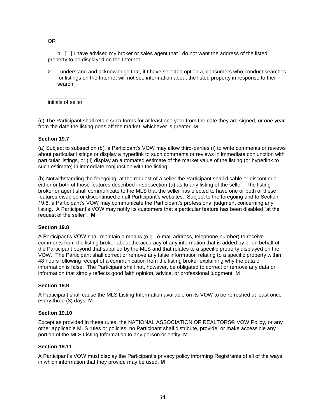OR

b. [ ] I have advised my broker or sales agent that I do not want the address of the listed property to be displayed on the Internet.

2. I understand and acknowledge that, if I have selected option a, consumers who conduct searches for listings on the Internet will not see information about the listed property in response to their search.

\_\_\_\_\_\_\_\_\_\_\_\_\_ initials of seller

(c) The Participant shall retain such forms for at least one year from the date they are signed, or one year from the date the listing goes off the market, whichever is greater. M

### **Section 19.7**

(a) Subject to subsection (b), a Participant's VOW may allow third-parties (i) to write comments or reviews about particular listings or display a hyperlink to such comments or reviews in immediate conjunction with particular listings, or (ii) display an automated estimate of the market value of the listing (or hyperlink to such estimate) in immediate conjunction with the listing.

(b) Notwithstanding the foregoing, at the request of a seller the Participant shall disable or discontinue either or both of those features described in subsection (a) as to any listing of the seller. The listing broker or agent shall communicate to the MLS that the seller has elected to have one or both of these features disabled or discontinued on all Participant's websites. Subject to the foregoing and to Section 19.8, a Participant's VOW may communicate the Participant's professional judgment concerning any listing. A Participant's VOW may notify its customers that a particular feature has been disabled "at the request of the seller". **M**

### **Section 19.8**

A Participant's VOW shall maintain a means (e.g., e-mail address, telephone number) to receive comments from the listing broker about the accuracy of any information that is added by or on behalf of the Participant beyond that supplied by the MLS and that relates to a specific property displayed on the VOW. The Participant shall correct or remove any false information relating to a specific property within 48 hours following receipt of a communication from the listing broker explaining why the data or information is false. The Participant shall not, however, be obligated to correct or remove any data or information that simply reflects good faith opinion, advice, or professional judgment. M

### **Section 19.9**

A Participant shall cause the MLS Listing Information available on its VOW to be refreshed at least once every three (3) days. **M**

### **Section 19.10**

Except as provided in these rules, the NATIONAL ASSOCIATION OF REALTORS® VOW Policy, or any other applicable MLS rules or policies, no Participant shall distribute, provide, or make accessible any portion of the MLS Listing Information to any person or entity. **M**

### **Section 19.11**

A Participant's VOW must display the Participant's privacy policy informing Registrants of all of the ways in which information that they provide may be used. **M**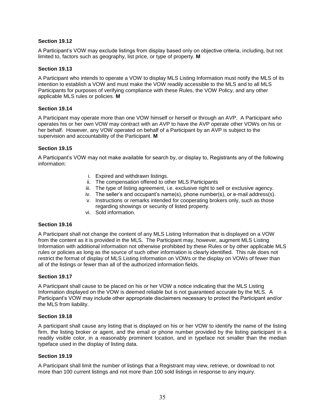### **Section 19.12**

A Participant's VOW may exclude listings from display based only on objective criteria, including, but not limited to, factors such as geography, list price, or type of property. **M**

### **Section 19.13**

A Participant who intends to operate a VOW to display MLS Listing Information must notify the MLS of its intention to establish a VOW and must make the VOW readily accessible to the MLS and to all MLS Participants for purposes of verifying compliance with these Rules, the VOW Policy, and any other applicable MLS rules or policies. **M**

### **Section 19.14**

A Participant may operate more than one VOW himself or herself or through an AVP. A Participant who operates his or her own VOW may contract with an AVP to have the AVP operate other VOWs on his or her behalf. However, any VOW operated on behalf of a Participant by an AVP is subject to the supervision and accountability of the Participant. **M**

### **Section 19.15**

A Participant's VOW may not make available for search by, or display to, Registrants any of the following information:

- i. Expired and withdrawn listings.
- ii. The compensation offered to other MLS Participants
- iii. The type of listing agreement, i.e. exclusive right to sell or exclusive agency.
- iv. The seller's and occupant's name(s), phone number(s), or e-mail address(s).
- v. Instructions or remarks intended for cooperating brokers only, such as those regarding showings or security of listed property.
- vi. Sold information.

### **Section 19.16**

A Participant shall not change the content of any MLS Listing Information that is displayed on a VOW from the content as it is provided in the MLS. The Participant may, however, augment MLS Listing Information with additional information not otherwise prohibited by these Rules or by other applicable MLS rules or policies as long as the source of such other information is clearly identified. This rule does not restrict the format of display of MLS Listing Information on VOWs or the display on VOWs of fewer than all of the listings or fewer than all of the authorized information fields.

### **Section 19.17**

A Participant shall cause to be placed on his or her VOW a notice indicating that the MLS Listing Information displayed on the VOW is deemed reliable but is not guaranteed accurate by the MLS. A Participant's VOW may include other appropriate disclaimers necessary to protect the Participant and/or the MLS from liability.

### **Section 19.18**

A participant shall cause any listing that is displayed on his or her VOW to identify the name of the listing firm, the listing broker or agent, and the email or phone number provided by the listing participant in a readily visible color, in a reasonably prominent location, and in typeface not smaller than the median typeface used in the display of listing data.

### **Section 19.19**

A Participant shall limit the number of listings that a Registrant may view, retrieve, or download to not more than 100 current listings and not more than 100 sold listings in response to any inquiry.